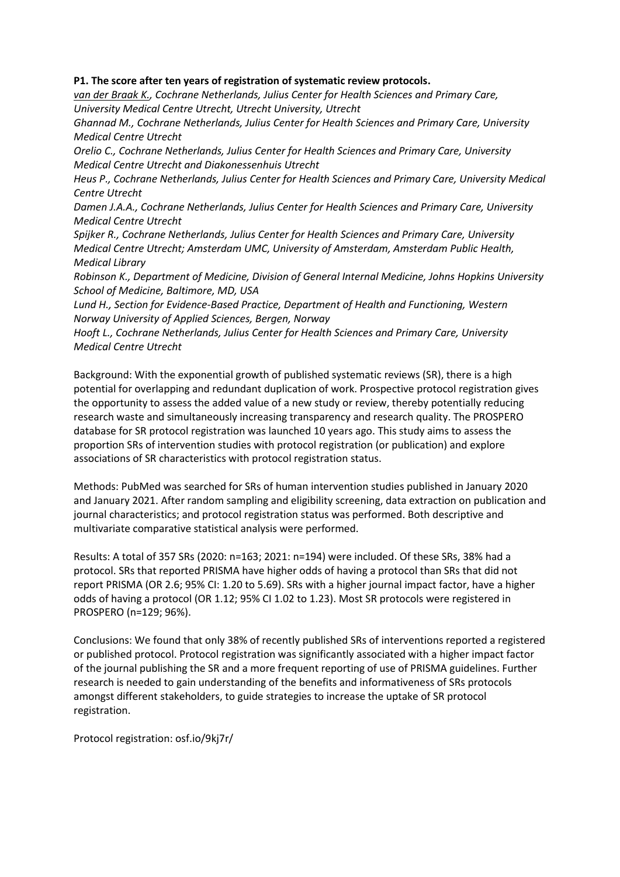# **P1. The score after ten years of registration of systematic review protocols.**

*van der Braak K., Cochrane Netherlands, Julius Center for Health Sciences and Primary Care, University Medical Centre Utrecht, Utrecht University, Utrecht* 

*Ghannad M., Cochrane Netherlands, Julius Center for Health Sciences and Primary Care, University Medical Centre Utrecht*

*Orelio C., Cochrane Netherlands, Julius Center for Health Sciences and Primary Care, University Medical Centre Utrecht and Diakonessenhuis Utrecht*

*Heus P., Cochrane Netherlands, Julius Center for Health Sciences and Primary Care, University Medical Centre Utrecht*

*Damen J.A.A., Cochrane Netherlands, Julius Center for Health Sciences and Primary Care, University Medical Centre Utrecht*

*Spijker R., Cochrane Netherlands, Julius Center for Health Sciences and Primary Care, University Medical Centre Utrecht; Amsterdam UMC, University of Amsterdam, Amsterdam Public Health, Medical Library*

*Robinson K., Department of Medicine, Division of General Internal Medicine, Johns Hopkins University School of Medicine, Baltimore, MD, USA*

*Lund H., Section for Evidence-Based Practice, Department of Health and Functioning, Western Norway University of Applied Sciences, Bergen, Norway*

*Hooft L., Cochrane Netherlands, Julius Center for Health Sciences and Primary Care, University Medical Centre Utrecht*

Background: With the exponential growth of published systematic reviews (SR), there is a high potential for overlapping and redundant duplication of work. Prospective protocol registration gives the opportunity to assess the added value of a new study or review, thereby potentially reducing research waste and simultaneously increasing transparency and research quality. The PROSPERO database for SR protocol registration was launched 10 years ago. This study aims to assess the proportion SRs of intervention studies with protocol registration (or publication) and explore associations of SR characteristics with protocol registration status.

Methods: PubMed was searched for SRs of human intervention studies published in January 2020 and January 2021. After random sampling and eligibility screening, data extraction on publication and journal characteristics; and protocol registration status was performed. Both descriptive and multivariate comparative statistical analysis were performed.

Results: A total of 357 SRs (2020: n=163; 2021: n=194) were included. Of these SRs, 38% had a protocol. SRs that reported PRISMA have higher odds of having a protocol than SRs that did not report PRISMA (OR 2.6; 95% CI: 1.20 to 5.69). SRs with a higher journal impact factor, have a higher odds of having a protocol (OR 1.12; 95% CI 1.02 to 1.23). Most SR protocols were registered in PROSPERO (n=129; 96%).

Conclusions: We found that only 38% of recently published SRs of interventions reported a registered or published protocol. Protocol registration was significantly associated with a higher impact factor of the journal publishing the SR and a more frequent reporting of use of PRISMA guidelines. Further research is needed to gain understanding of the benefits and informativeness of SRs protocols amongst different stakeholders, to guide strategies to increase the uptake of SR protocol registration.

Protocol registration: osf.io/9kj7r/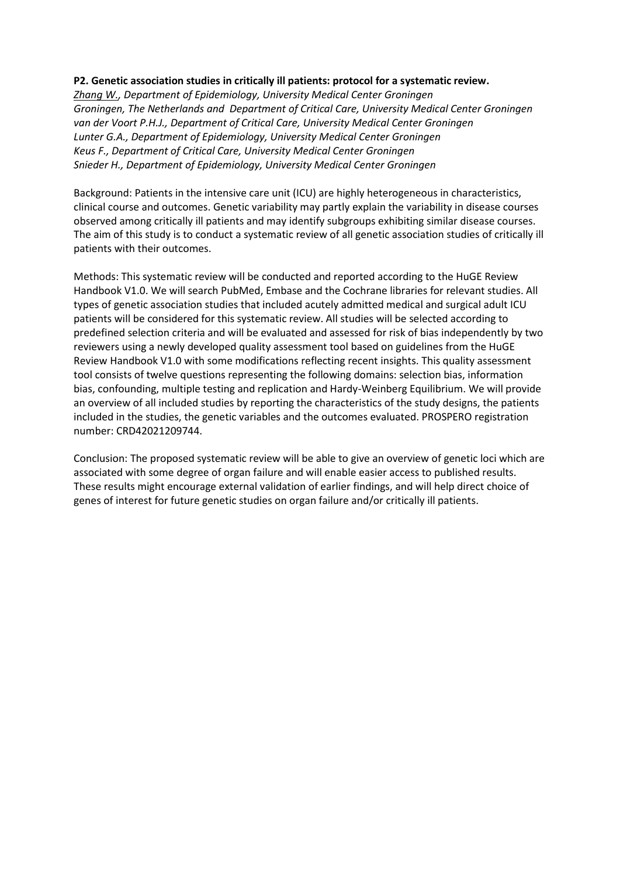### **P2. Genetic association studies in critically ill patients: protocol for a systematic review.**

*Zhang W., Department of Epidemiology, University Medical Center Groningen Groningen, The Netherlands and Department of Critical Care, University Medical Center Groningen van der Voort P.H.J., Department of Critical Care, University Medical Center Groningen Lunter G.A., Department of Epidemiology, University Medical Center Groningen Keus F., Department of Critical Care, University Medical Center Groningen Snieder H., Department of Epidemiology, University Medical Center Groningen*

Background: Patients in the intensive care unit (ICU) are highly heterogeneous in characteristics, clinical course and outcomes. Genetic variability may partly explain the variability in disease courses observed among critically ill patients and may identify subgroups exhibiting similar disease courses. The aim of this study is to conduct a systematic review of all genetic association studies of critically ill patients with their outcomes.

Methods: This systematic review will be conducted and reported according to the HuGE Review Handbook V1.0. We will search PubMed, Embase and the Cochrane libraries for relevant studies. All types of genetic association studies that included acutely admitted medical and surgical adult ICU patients will be considered for this systematic review. All studies will be selected according to predefined selection criteria and will be evaluated and assessed for risk of bias independently by two reviewers using a newly developed quality assessment tool based on guidelines from the HuGE Review Handbook V1.0 with some modifications reflecting recent insights. This quality assessment tool consists of twelve questions representing the following domains: selection bias, information bias, confounding, multiple testing and replication and Hardy-Weinberg Equilibrium. We will provide an overview of all included studies by reporting the characteristics of the study designs, the patients included in the studies, the genetic variables and the outcomes evaluated. PROSPERO registration number: CRD42021209744.

Conclusion: The proposed systematic review will be able to give an overview of genetic loci which are associated with some degree of organ failure and will enable easier access to published results. These results might encourage external validation of earlier findings, and will help direct choice of genes of interest for future genetic studies on organ failure and/or critically ill patients.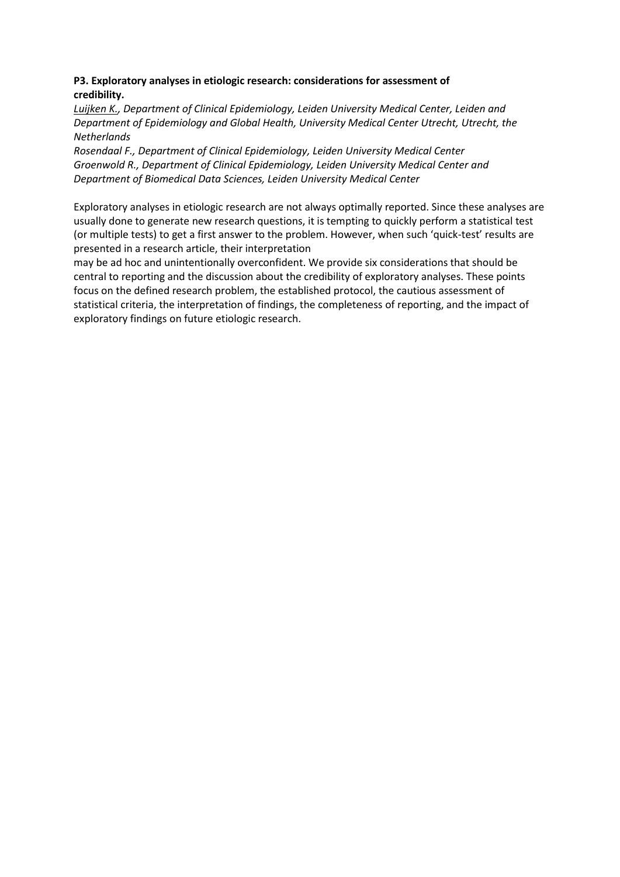# **P3. Exploratory analyses in etiologic research: considerations for assessment of credibility.**

*Luijken K., Department of Clinical Epidemiology, Leiden University Medical Center, Leiden and Department of Epidemiology and Global Health, University Medical Center Utrecht, Utrecht, the Netherlands* 

*Rosendaal F., Department of Clinical Epidemiology, Leiden University Medical Center Groenwold R., Department of Clinical Epidemiology, Leiden University Medical Center and Department of Biomedical Data Sciences, Leiden University Medical Center*

Exploratory analyses in etiologic research are not always optimally reported. Since these analyses are usually done to generate new research questions, it is tempting to quickly perform a statistical test (or multiple tests) to get a first answer to the problem. However, when such 'quick-test' results are presented in a research article, their interpretation

may be ad hoc and unintentionally overconfident. We provide six considerations that should be central to reporting and the discussion about the credibility of exploratory analyses. These points focus on the defined research problem, the established protocol, the cautious assessment of statistical criteria, the interpretation of findings, the completeness of reporting, and the impact of exploratory findings on future etiologic research.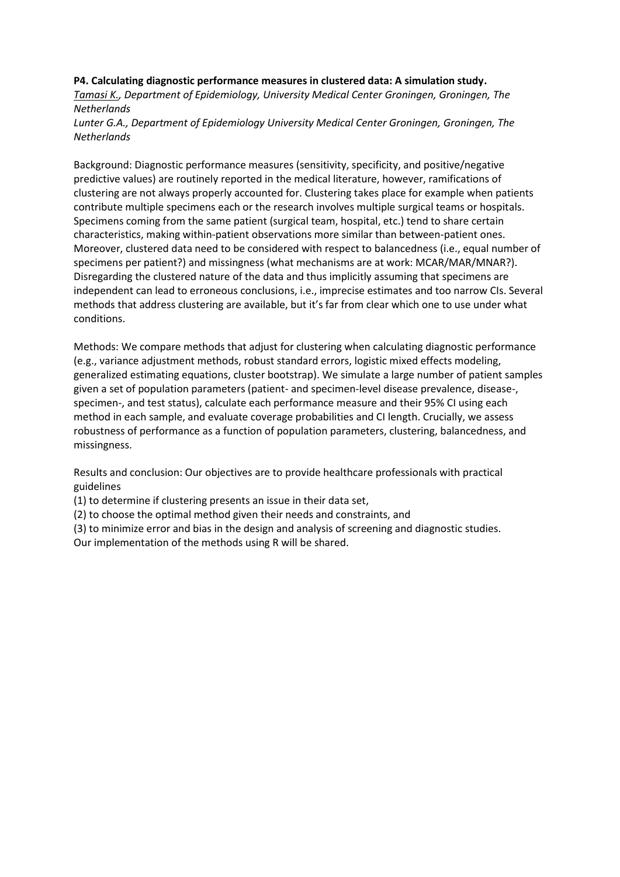### **P4. Calculating diagnostic performance measures in clustered data: A simulation study.**

*Tamasi K., Department of Epidemiology, University Medical Center Groningen, Groningen, The Netherlands*

*Lunter G.A., Department of Epidemiology University Medical Center Groningen, Groningen, The Netherlands*

Background: Diagnostic performance measures (sensitivity, specificity, and positive/negative predictive values) are routinely reported in the medical literature, however, ramifications of clustering are not always properly accounted for. Clustering takes place for example when patients contribute multiple specimens each or the research involves multiple surgical teams or hospitals. Specimens coming from the same patient (surgical team, hospital, etc.) tend to share certain characteristics, making within-patient observations more similar than between-patient ones. Moreover, clustered data need to be considered with respect to balancedness (i.e., equal number of specimens per patient?) and missingness (what mechanisms are at work: MCAR/MAR/MNAR?). Disregarding the clustered nature of the data and thus implicitly assuming that specimens are independent can lead to erroneous conclusions, i.e., imprecise estimates and too narrow CIs. Several methods that address clustering are available, but it's far from clear which one to use under what conditions.

Methods: We compare methods that adjust for clustering when calculating diagnostic performance (e.g., variance adjustment methods, robust standard errors, logistic mixed effects modeling, generalized estimating equations, cluster bootstrap). We simulate a large number of patient samples given a set of population parameters (patient- and specimen-level disease prevalence, disease-, specimen-, and test status), calculate each performance measure and their 95% CI using each method in each sample, and evaluate coverage probabilities and CI length. Crucially, we assess robustness of performance as a function of population parameters, clustering, balancedness, and missingness.

Results and conclusion: Our objectives are to provide healthcare professionals with practical guidelines

(1) to determine if clustering presents an issue in their data set,

(2) to choose the optimal method given their needs and constraints, and

(3) to minimize error and bias in the design and analysis of screening and diagnostic studies.

Our implementation of the methods using R will be shared.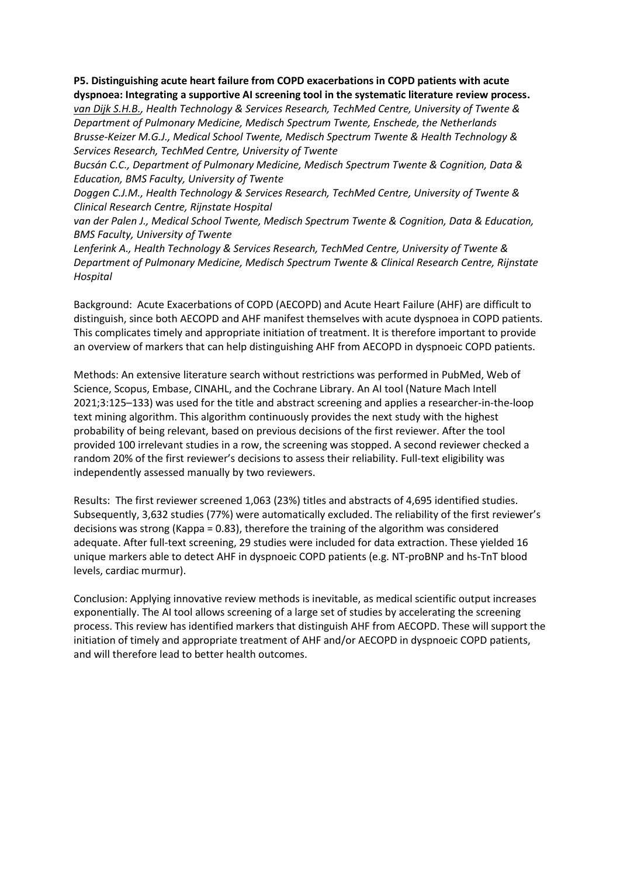# **P5. Distinguishing acute heart failure from COPD exacerbations in COPD patients with acute dyspnoea: Integrating a supportive AI screening tool in the systematic literature review process.**

*van Dijk S.H.B., Health Technology & Services Research, TechMed Centre, University of Twente & Department of Pulmonary Medicine, Medisch Spectrum Twente, Enschede, the Netherlands Brusse-Keizer M.G.J., Medical School Twente, Medisch Spectrum Twente & Health Technology & Services Research, TechMed Centre, University of Twente*

*Bucsán C.C., Department of Pulmonary Medicine, Medisch Spectrum Twente & Cognition, Data & Education, BMS Faculty, University of Twente*

*Doggen C.J.M., Health Technology & Services Research, TechMed Centre, University of Twente & Clinical Research Centre, Rijnstate Hospital*

*van der Palen J., Medical School Twente, Medisch Spectrum Twente & Cognition, Data & Education, BMS Faculty, University of Twente*

*Lenferink A., Health Technology & Services Research, TechMed Centre, University of Twente & Department of Pulmonary Medicine, Medisch Spectrum Twente & Clinical Research Centre, Rijnstate Hospital*

Background: Acute Exacerbations of COPD (AECOPD) and Acute Heart Failure (AHF) are difficult to distinguish, since both AECOPD and AHF manifest themselves with acute dyspnoea in COPD patients. This complicates timely and appropriate initiation of treatment. It is therefore important to provide an overview of markers that can help distinguishing AHF from AECOPD in dyspnoeic COPD patients.

Methods: An extensive literature search without restrictions was performed in PubMed, Web of Science, Scopus, Embase, CINAHL, and the Cochrane Library. An AI tool (Nature Mach Intell 2021;3:125–133) was used for the title and abstract screening and applies a researcher-in-the-loop text mining algorithm. This algorithm continuously provides the next study with the highest probability of being relevant, based on previous decisions of the first reviewer. After the tool provided 100 irrelevant studies in a row, the screening was stopped. A second reviewer checked a random 20% of the first reviewer's decisions to assess their reliability. Full-text eligibility was independently assessed manually by two reviewers.

Results: The first reviewer screened 1,063 (23%) titles and abstracts of 4,695 identified studies. Subsequently, 3,632 studies (77%) were automatically excluded. The reliability of the first reviewer's decisions was strong (Kappa = 0.83), therefore the training of the algorithm was considered adequate. After full-text screening, 29 studies were included for data extraction. These yielded 16 unique markers able to detect AHF in dyspnoeic COPD patients (e.g. NT-proBNP and hs-TnT blood levels, cardiac murmur).

Conclusion: Applying innovative review methods is inevitable, as medical scientific output increases exponentially. The AI tool allows screening of a large set of studies by accelerating the screening process. This review has identified markers that distinguish AHF from AECOPD. These will support the initiation of timely and appropriate treatment of AHF and/or AECOPD in dyspnoeic COPD patients, and will therefore lead to better health outcomes.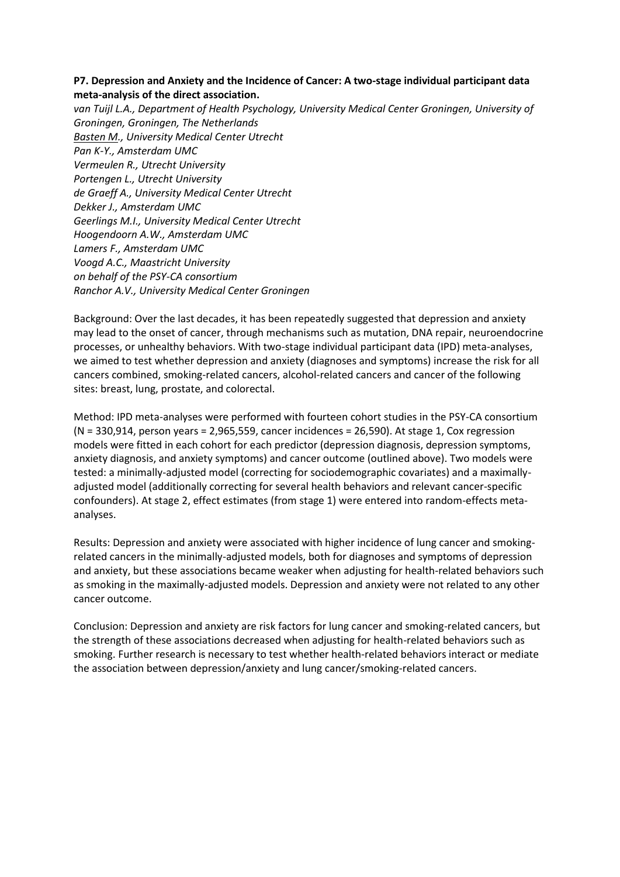### **P7. Depression and Anxiety and the Incidence of Cancer: A two-stage individual participant data meta-analysis of the direct association.**

*van Tuijl L.A., Department of Health Psychology, University Medical Center Groningen, University of Groningen, Groningen, The Netherlands Basten M., University Medical Center Utrecht Pan K-Y., Amsterdam UMC Vermeulen R., Utrecht University Portengen L., Utrecht University de Graeff A., University Medical Center Utrecht Dekker J., Amsterdam UMC Geerlings M.I., University Medical Center Utrecht Hoogendoorn A.W., Amsterdam UMC Lamers F., Amsterdam UMC Voogd A.C., Maastricht University on behalf of the PSY-CA consortium Ranchor A.V., University Medical Center Groningen*

Background: Over the last decades, it has been repeatedly suggested that depression and anxiety may lead to the onset of cancer, through mechanisms such as mutation, DNA repair, neuroendocrine processes, or unhealthy behaviors. With two-stage individual participant data (IPD) meta-analyses, we aimed to test whether depression and anxiety (diagnoses and symptoms) increase the risk for all cancers combined, smoking-related cancers, alcohol-related cancers and cancer of the following sites: breast, lung, prostate, and colorectal.

Method: IPD meta-analyses were performed with fourteen cohort studies in the PSY-CA consortium (N = 330,914, person years = 2,965,559, cancer incidences = 26,590). At stage 1, Cox regression models were fitted in each cohort for each predictor (depression diagnosis, depression symptoms, anxiety diagnosis, and anxiety symptoms) and cancer outcome (outlined above). Two models were tested: a minimally-adjusted model (correcting for sociodemographic covariates) and a maximallyadjusted model (additionally correcting for several health behaviors and relevant cancer-specific confounders). At stage 2, effect estimates (from stage 1) were entered into random-effects metaanalyses.

Results: Depression and anxiety were associated with higher incidence of lung cancer and smokingrelated cancers in the minimally-adjusted models, both for diagnoses and symptoms of depression and anxiety, but these associations became weaker when adjusting for health-related behaviors such as smoking in the maximally-adjusted models. Depression and anxiety were not related to any other cancer outcome.

Conclusion: Depression and anxiety are risk factors for lung cancer and smoking-related cancers, but the strength of these associations decreased when adjusting for health-related behaviors such as smoking. Further research is necessary to test whether health-related behaviors interact or mediate the association between depression/anxiety and lung cancer/smoking-related cancers.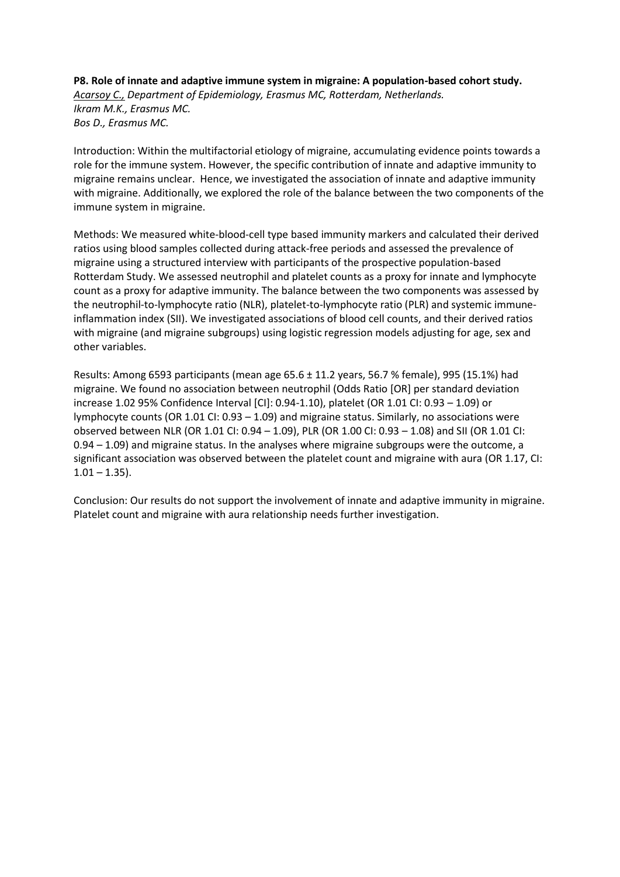# **P8. Role of innate and adaptive immune system in migraine: A population-based cohort study.** *Acarsoy C., Department of Epidemiology, Erasmus MC, Rotterdam, Netherlands. Ikram M.K., Erasmus MC. Bos D., Erasmus MC.*

Introduction: Within the multifactorial etiology of migraine, accumulating evidence points towards a role for the immune system. However, the specific contribution of innate and adaptive immunity to migraine remains unclear. Hence, we investigated the association of innate and adaptive immunity with migraine. Additionally, we explored the role of the balance between the two components of the immune system in migraine.

Methods: We measured white-blood-cell type based immunity markers and calculated their derived ratios using blood samples collected during attack-free periods and assessed the prevalence of migraine using a structured interview with participants of the prospective population-based Rotterdam Study. We assessed neutrophil and platelet counts as a proxy for innate and lymphocyte count as a proxy for adaptive immunity. The balance between the two components was assessed by the neutrophil-to-lymphocyte ratio (NLR), platelet-to-lymphocyte ratio (PLR) and systemic immuneinflammation index (SII). We investigated associations of blood cell counts, and their derived ratios with migraine (and migraine subgroups) using logistic regression models adjusting for age, sex and other variables.

Results: Among 6593 participants (mean age 65.6 ± 11.2 years, 56.7 % female), 995 (15.1%) had migraine. We found no association between neutrophil (Odds Ratio [OR] per standard deviation increase 1.02 95% Confidence Interval [CI]: 0.94-1.10), platelet (OR 1.01 CI: 0.93 – 1.09) or lymphocyte counts (OR 1.01 CI: 0.93 – 1.09) and migraine status. Similarly, no associations were observed between NLR (OR 1.01 CI: 0.94 – 1.09), PLR (OR 1.00 CI: 0.93 – 1.08) and SII (OR 1.01 CI: 0.94 – 1.09) and migraine status. In the analyses where migraine subgroups were the outcome, a significant association was observed between the platelet count and migraine with aura (OR 1.17, CI:  $1.01 - 1.35$ ).

Conclusion: Our results do not support the involvement of innate and adaptive immunity in migraine. Platelet count and migraine with aura relationship needs further investigation.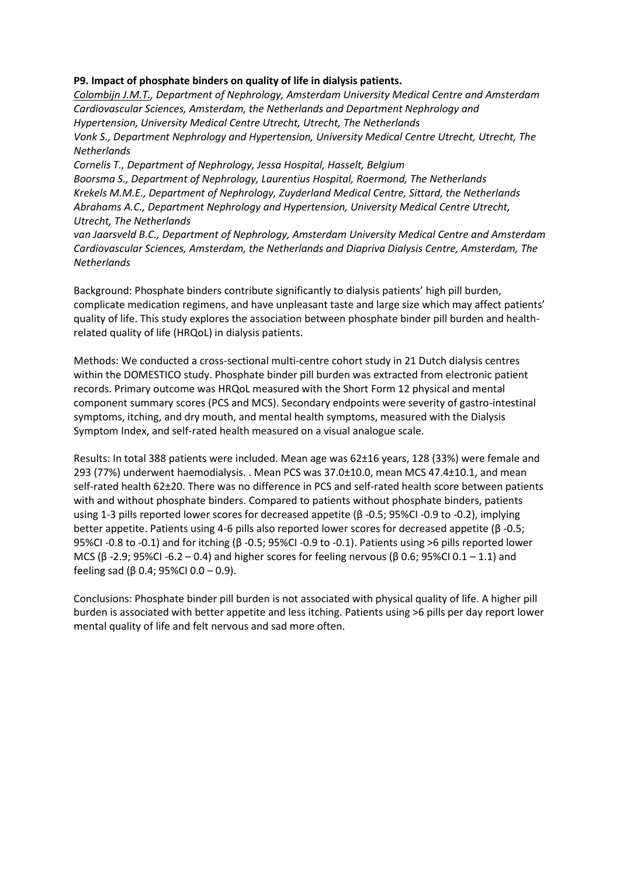# **P9. Impact of phosphate binders on quality of life in dialysis patients.**

*Colombijn J.M.T., Department of Nephrology, Amsterdam University Medical Centre and Amsterdam Cardiovascular Sciences, Amsterdam, the Netherlands and Department Nephrology and Hypertension, University Medical Centre Utrecht, Utrecht, The Netherlands Vonk S., Department Nephrology and Hypertension, University Medical Centre Utrecht, Utrecht, The Netherlands*

*Cornelis T., Department of Nephrology, Jessa Hospital, Hasselt, Belgium Boorsma S., Department of Nephrology, Laurentius Hospital, Roermond, The Netherlands Krekels M.M.E., Department of Nephrology, Zuyderland Medical Centre, Sittard, the Netherlands Abrahams A.C., Department Nephrology and Hypertension, University Medical Centre Utrecht, Utrecht, The Netherlands*

*van Jaarsveld B.C., Department of Nephrology, Amsterdam University Medical Centre and Amsterdam Cardiovascular Sciences, Amsterdam, the Netherlands and Diapriva Dialysis Centre, Amsterdam, The Netherlands*

Background: Phosphate binders contribute significantly to dialysis patients' high pill burden, complicate medication regimens, and have unpleasant taste and large size which may affect patients' quality of life. This study explores the association between phosphate binder pill burden and healthrelated quality of life (HRQoL) in dialysis patients.

Methods: We conducted a cross-sectional multi-centre cohort study in 21 Dutch dialysis centres within the DOMESTICO study. Phosphate binder pill burden was extracted from electronic patient records. Primary outcome was HRQoL measured with the Short Form 12 physical and mental component summary scores (PCS and MCS). Secondary endpoints were severity of gastro-intestinal symptoms, itching, and dry mouth, and mental health symptoms, measured with the Dialysis Symptom Index, and self-rated health measured on a visual analogue scale.

Results: In total 388 patients were included. Mean age was 62±16 years, 128 (33%) were female and 293 (77%) underwent haemodialysis. . Mean PCS was 37.0±10.0, mean MCS 47.4±10.1, and mean self-rated health 62±20. There was no difference in PCS and self-rated health score between patients with and without phosphate binders. Compared to patients without phosphate binders, patients using 1-3 pills reported lower scores for decreased appetite (β -0.5; 95%CI -0.9 to -0.2), implying better appetite. Patients using 4-6 pills also reported lower scores for decreased appetite (β -0.5; 95%CI -0.8 to -0.1) and for itching (β -0.5; 95%CI -0.9 to -0.1). Patients using >6 pills reported lower MCS (β -2.9; 95%CI -6.2 – 0.4) and higher scores for feeling nervous (β 0.6; 95%CI 0.1 – 1.1) and feeling sad (β 0.4; 95%Cl 0.0 – 0.9).

Conclusions: Phosphate binder pill burden is not associated with physical quality of life. A higher pill burden is associated with better appetite and less itching. Patients using >6 pills per day report lower mental quality of life and felt nervous and sad more often.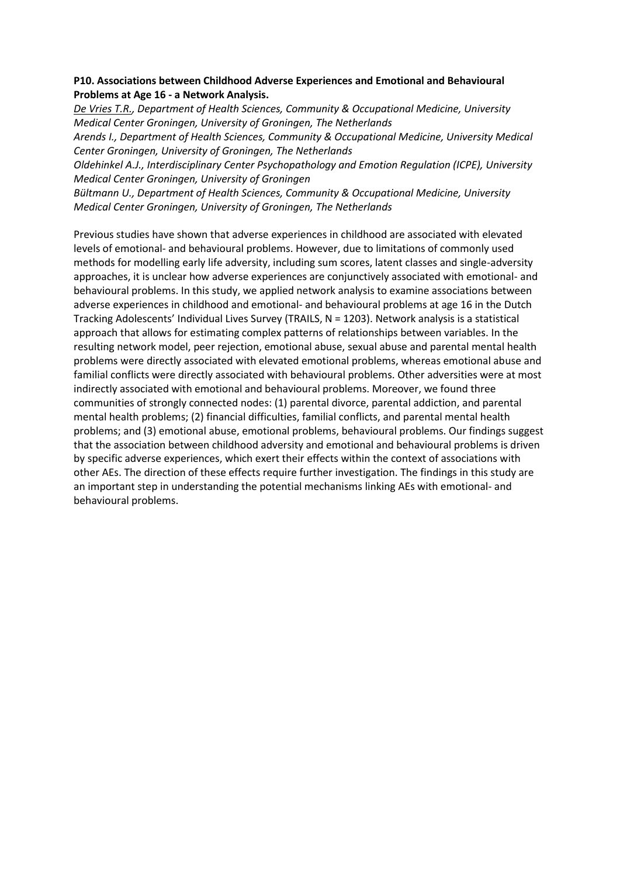# **P10. Associations between Childhood Adverse Experiences and Emotional and Behavioural Problems at Age 16 - a Network Analysis.**

*De Vries T.R., Department of Health Sciences, Community & Occupational Medicine, University Medical Center Groningen, University of Groningen, The Netherlands*

*Arends I., Department of Health Sciences, Community & Occupational Medicine, University Medical Center Groningen, University of Groningen, The Netherlands*

*Oldehinkel A.J., Interdisciplinary Center Psychopathology and Emotion Regulation (ICPE), University Medical Center Groningen, University of Groningen*

*Bültmann U., Department of Health Sciences, Community & Occupational Medicine, University Medical Center Groningen, University of Groningen, The Netherlands*

Previous studies have shown that adverse experiences in childhood are associated with elevated levels of emotional- and behavioural problems. However, due to limitations of commonly used methods for modelling early life adversity, including sum scores, latent classes and single-adversity approaches, it is unclear how adverse experiences are conjunctively associated with emotional- and behavioural problems. In this study, we applied network analysis to examine associations between adverse experiences in childhood and emotional- and behavioural problems at age 16 in the Dutch Tracking Adolescents' Individual Lives Survey (TRAILS, N = 1203). Network analysis is a statistical approach that allows for estimating complex patterns of relationships between variables. In the resulting network model, peer rejection, emotional abuse, sexual abuse and parental mental health problems were directly associated with elevated emotional problems, whereas emotional abuse and familial conflicts were directly associated with behavioural problems. Other adversities were at most indirectly associated with emotional and behavioural problems. Moreover, we found three communities of strongly connected nodes: (1) parental divorce, parental addiction, and parental mental health problems; (2) financial difficulties, familial conflicts, and parental mental health problems; and (3) emotional abuse, emotional problems, behavioural problems. Our findings suggest that the association between childhood adversity and emotional and behavioural problems is driven by specific adverse experiences, which exert their effects within the context of associations with other AEs. The direction of these effects require further investigation. The findings in this study are an important step in understanding the potential mechanisms linking AEs with emotional- and behavioural problems.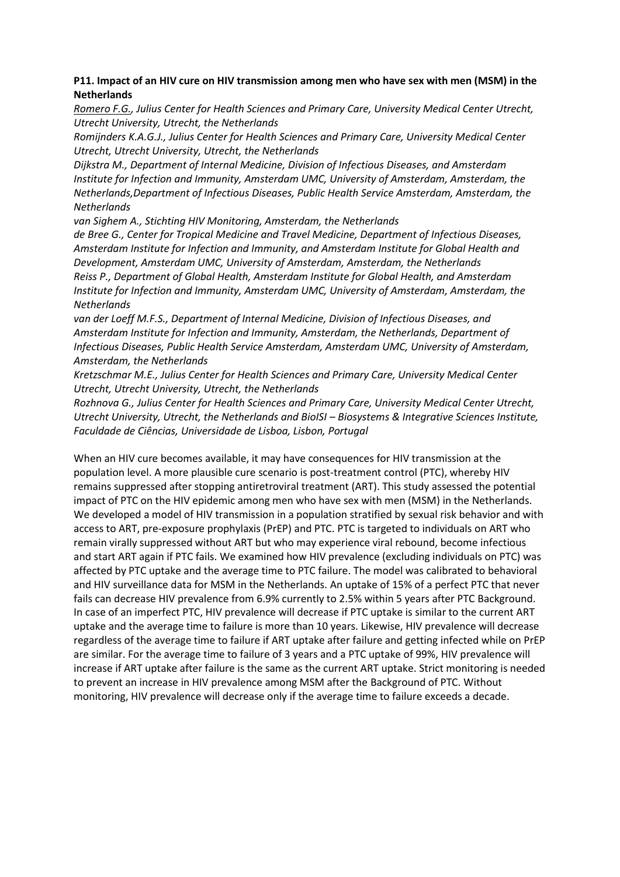# **P11. Impact of an HIV cure on HIV transmission among men who have sex with men (MSM) in the Netherlands**

*Romero F.G., Julius Center for Health Sciences and Primary Care, University Medical Center Utrecht, Utrecht University, Utrecht, the Netherlands*

*Romijnders K.A.G.J., Julius Center for Health Sciences and Primary Care, University Medical Center Utrecht, Utrecht University, Utrecht, the Netherlands*

*Dijkstra M., Department of Internal Medicine, Division of Infectious Diseases, and Amsterdam Institute for Infection and Immunity, Amsterdam UMC, University of Amsterdam, Amsterdam, the Netherlands,Department of Infectious Diseases, Public Health Service Amsterdam, Amsterdam, the Netherlands*

*van Sighem A., Stichting HIV Monitoring, Amsterdam, the Netherlands*

*de Bree G., Center for Tropical Medicine and Travel Medicine, Department of Infectious Diseases, Amsterdam Institute for Infection and Immunity, and Amsterdam Institute for Global Health and Development, Amsterdam UMC, University of Amsterdam, Amsterdam, the Netherlands Reiss P., Department of Global Health, Amsterdam Institute for Global Health, and Amsterdam Institute for Infection and Immunity, Amsterdam UMC, University of Amsterdam, Amsterdam, the Netherlands*

*van der Loeff M.F.S., Department of Internal Medicine, Division of Infectious Diseases, and Amsterdam Institute for Infection and Immunity, Amsterdam, the Netherlands, Department of Infectious Diseases, Public Health Service Amsterdam, Amsterdam UMC, University of Amsterdam, Amsterdam, the Netherlands*

*Kretzschmar M.E., Julius Center for Health Sciences and Primary Care, University Medical Center Utrecht, Utrecht University, Utrecht, the Netherlands*

*Rozhnova G., Julius Center for Health Sciences and Primary Care, University Medical Center Utrecht, Utrecht University, Utrecht, the Netherlands and BioISI – Biosystems & Integrative Sciences Institute, Faculdade de Ciências, Universidade de Lisboa, Lisbon, Portugal*

When an HIV cure becomes available, it may have consequences for HIV transmission at the population level. A more plausible cure scenario is post-treatment control (PTC), whereby HIV remains suppressed after stopping antiretroviral treatment (ART). This study assessed the potential impact of PTC on the HIV epidemic among men who have sex with men (MSM) in the Netherlands. We developed a model of HIV transmission in a population stratified by sexual risk behavior and with access to ART, pre-exposure prophylaxis (PrEP) and PTC. PTC is targeted to individuals on ART who remain virally suppressed without ART but who may experience viral rebound, become infectious and start ART again if PTC fails. We examined how HIV prevalence (excluding individuals on PTC) was affected by PTC uptake and the average time to PTC failure. The model was calibrated to behavioral and HIV surveillance data for MSM in the Netherlands. An uptake of 15% of a perfect PTC that never fails can decrease HIV prevalence from 6.9% currently to 2.5% within 5 years after PTC Background. In case of an imperfect PTC, HIV prevalence will decrease if PTC uptake is similar to the current ART uptake and the average time to failure is more than 10 years. Likewise, HIV prevalence will decrease regardless of the average time to failure if ART uptake after failure and getting infected while on PrEP are similar. For the average time to failure of 3 years and a PTC uptake of 99%, HIV prevalence will increase if ART uptake after failure is the same as the current ART uptake. Strict monitoring is needed to prevent an increase in HIV prevalence among MSM after the Background of PTC. Without monitoring, HIV prevalence will decrease only if the average time to failure exceeds a decade.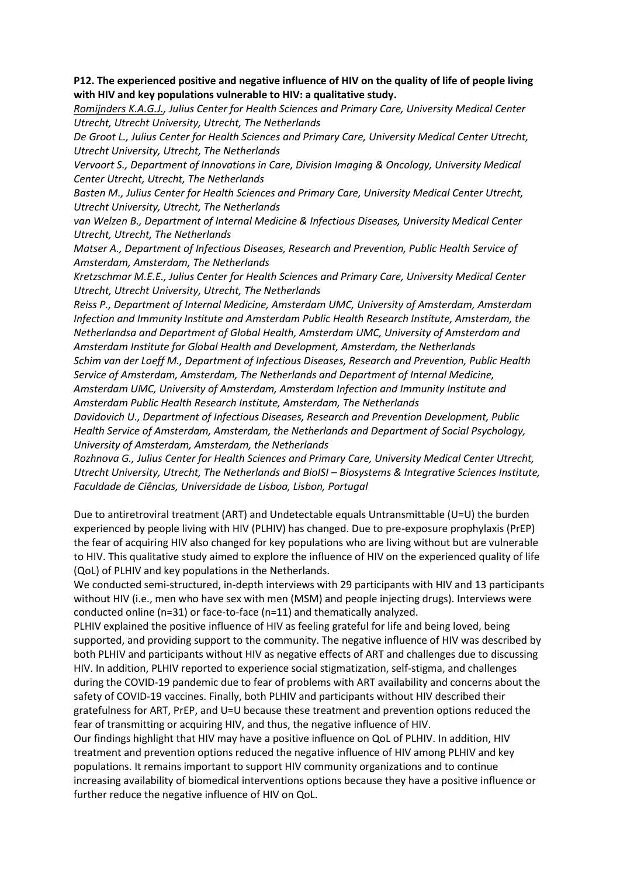## **P12. The experienced positive and negative influence of HIV on the quality of life of people living with HIV and key populations vulnerable to HIV: a qualitative study.**

*Romijnders K.A.G.J., Julius Center for Health Sciences and Primary Care, University Medical Center Utrecht, Utrecht University, Utrecht, The Netherlands*

*De Groot L., Julius Center for Health Sciences and Primary Care, University Medical Center Utrecht, Utrecht University, Utrecht, The Netherlands*

*Vervoort S., Department of Innovations in Care, Division Imaging & Oncology, University Medical Center Utrecht, Utrecht, The Netherlands*

*Basten M., Julius Center for Health Sciences and Primary Care, University Medical Center Utrecht, Utrecht University, Utrecht, The Netherlands*

*van Welzen B., Department of Internal Medicine & Infectious Diseases, University Medical Center Utrecht, Utrecht, The Netherlands*

*Matser A., Department of Infectious Diseases, Research and Prevention, Public Health Service of Amsterdam, Amsterdam, The Netherlands*

*Kretzschmar M.E.E., Julius Center for Health Sciences and Primary Care, University Medical Center Utrecht, Utrecht University, Utrecht, The Netherlands*

*Reiss P., Department of Internal Medicine, Amsterdam UMC, University of Amsterdam, Amsterdam Infection and Immunity Institute and Amsterdam Public Health Research Institute, Amsterdam, the Netherlandsa and Department of Global Health, Amsterdam UMC, University of Amsterdam and Amsterdam Institute for Global Health and Development, Amsterdam, the Netherlands*

*Schim van der Loeff M., Department of Infectious Diseases, Research and Prevention, Public Health Service of Amsterdam, Amsterdam, The Netherlands and Department of Internal Medicine, Amsterdam UMC, University of Amsterdam, Amsterdam Infection and Immunity Institute and Amsterdam Public Health Research Institute, Amsterdam, The Netherlands*

*Davidovich U., Department of Infectious Diseases, Research and Prevention Development, Public Health Service of Amsterdam, Amsterdam, the Netherlands and Department of Social Psychology, University of Amsterdam, Amsterdam, the Netherlands*

*Rozhnova G., Julius Center for Health Sciences and Primary Care, University Medical Center Utrecht, Utrecht University, Utrecht, The Netherlands and BioISI – Biosystems & Integrative Sciences Institute, Faculdade de Ciências, Universidade de Lisboa, Lisbon, Portugal*

Due to antiretroviral treatment (ART) and Undetectable equals Untransmittable (U=U) the burden experienced by people living with HIV (PLHIV) has changed. Due to pre-exposure prophylaxis (PrEP) the fear of acquiring HIV also changed for key populations who are living without but are vulnerable to HIV. This qualitative study aimed to explore the influence of HIV on the experienced quality of life (QoL) of PLHIV and key populations in the Netherlands.

We conducted semi-structured, in-depth interviews with 29 participants with HIV and 13 participants without HIV (i.e., men who have sex with men (MSM) and people injecting drugs). Interviews were conducted online (n=31) or face-to-face (n=11) and thematically analyzed.

PLHIV explained the positive influence of HIV as feeling grateful for life and being loved, being supported, and providing support to the community. The negative influence of HIV was described by both PLHIV and participants without HIV as negative effects of ART and challenges due to discussing HIV. In addition, PLHIV reported to experience social stigmatization, self-stigma, and challenges during the COVID-19 pandemic due to fear of problems with ART availability and concerns about the safety of COVID-19 vaccines. Finally, both PLHIV and participants without HIV described their gratefulness for ART, PrEP, and U=U because these treatment and prevention options reduced the fear of transmitting or acquiring HIV, and thus, the negative influence of HIV.

Our findings highlight that HIV may have a positive influence on QoL of PLHIV. In addition, HIV treatment and prevention options reduced the negative influence of HIV among PLHIV and key populations. It remains important to support HIV community organizations and to continue increasing availability of biomedical interventions options because they have a positive influence or further reduce the negative influence of HIV on QoL.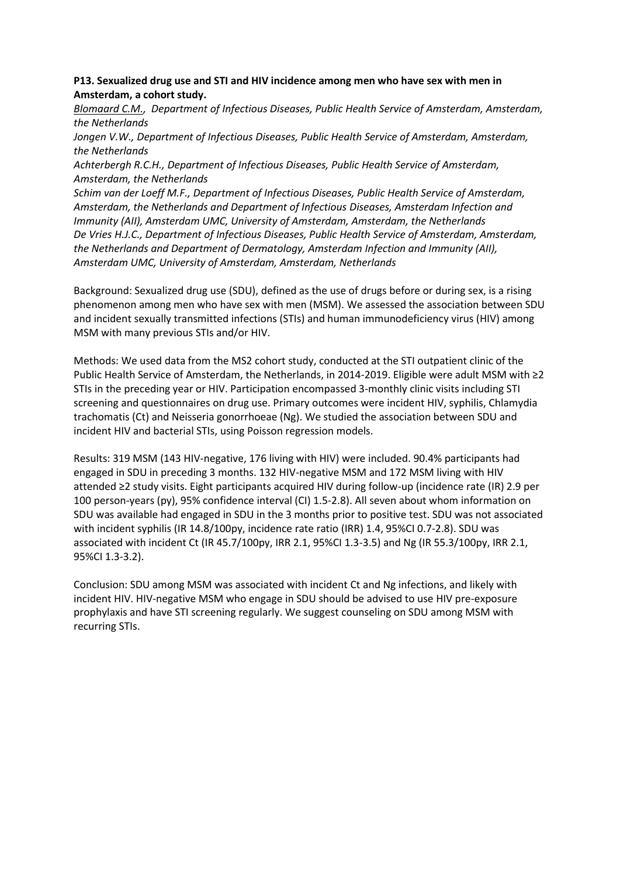## **P13. Sexualized drug use and STI and HIV incidence among men who have sex with men in Amsterdam, a cohort study.**

*Blomaard C.M., Department of Infectious Diseases, Public Health Service of Amsterdam, Amsterdam, the Netherlands*

*Jongen V.W., Department of Infectious Diseases, Public Health Service of Amsterdam, Amsterdam, the Netherlands*

*Achterbergh R.C.H., Department of Infectious Diseases, Public Health Service of Amsterdam, Amsterdam, the Netherlands*

*Schim van der Loeff M.F., Department of Infectious Diseases, Public Health Service of Amsterdam, Amsterdam, the Netherlands and Department of Infectious Diseases, Amsterdam Infection and Immunity (AII), Amsterdam UMC, University of Amsterdam, Amsterdam, the Netherlands De Vries H.J.C., Department of Infectious Diseases, Public Health Service of Amsterdam, Amsterdam, the Netherlands and Department of Dermatology, Amsterdam Infection and Immunity (AII), Amsterdam UMC, University of Amsterdam, Amsterdam, Netherlands*

Background: Sexualized drug use (SDU), defined as the use of drugs before or during sex, is a rising phenomenon among men who have sex with men (MSM). We assessed the association between SDU and incident sexually transmitted infections (STIs) and human immunodeficiency virus (HIV) among MSM with many previous STIs and/or HIV.

Methods: We used data from the MS2 cohort study, conducted at the STI outpatient clinic of the Public Health Service of Amsterdam, the Netherlands, in 2014-2019. Eligible were adult MSM with ≥2 STIs in the preceding year or HIV. Participation encompassed 3-monthly clinic visits including STI screening and questionnaires on drug use. Primary outcomes were incident HIV, syphilis, Chlamydia trachomatis (Ct) and Neisseria gonorrhoeae (Ng). We studied the association between SDU and incident HIV and bacterial STIs, using Poisson regression models.

Results: 319 MSM (143 HIV-negative, 176 living with HIV) were included. 90.4% participants had engaged in SDU in preceding 3 months. 132 HIV-negative MSM and 172 MSM living with HIV attended ≥2 study visits. Eight participants acquired HIV during follow-up (incidence rate (IR) 2.9 per 100 person-years (py), 95% confidence interval (CI) 1.5-2.8). All seven about whom information on SDU was available had engaged in SDU in the 3 months prior to positive test. SDU was not associated with incident syphilis (IR 14.8/100py, incidence rate ratio (IRR) 1.4, 95%CI 0.7-2.8). SDU was associated with incident Ct (IR 45.7/100py, IRR 2.1, 95%CI 1.3-3.5) and Ng (IR 55.3/100py, IRR 2.1, 95%CI 1.3-3.2).

Conclusion: SDU among MSM was associated with incident Ct and Ng infections, and likely with incident HIV. HIV-negative MSM who engage in SDU should be advised to use HIV pre-exposure prophylaxis and have STI screening regularly. We suggest counseling on SDU among MSM with recurring STIs.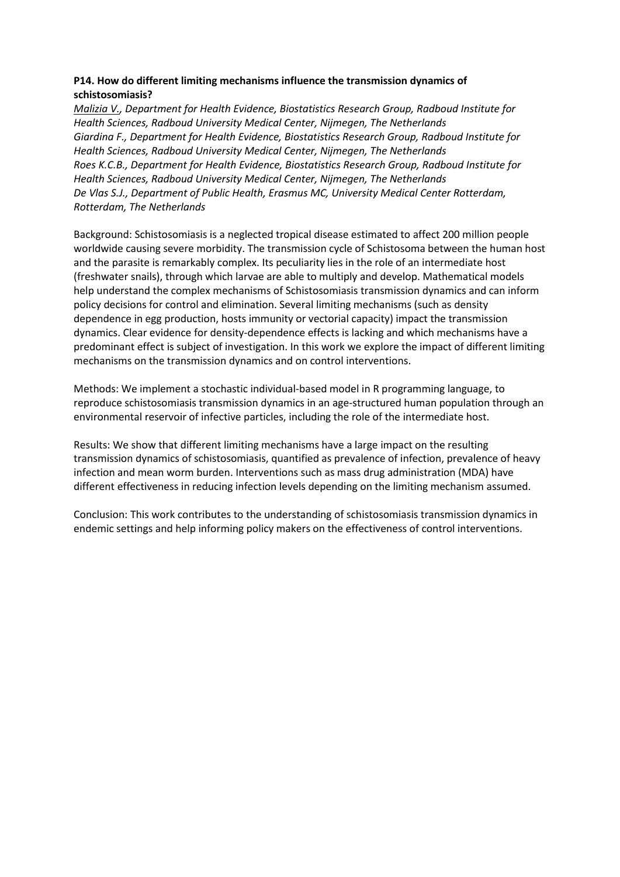# **P14. How do different limiting mechanisms influence the transmission dynamics of schistosomiasis?**

*Malizia V., Department for Health Evidence, Biostatistics Research Group, Radboud Institute for Health Sciences, Radboud University Medical Center, Nijmegen, The Netherlands Giardina F., Department for Health Evidence, Biostatistics Research Group, Radboud Institute for Health Sciences, Radboud University Medical Center, Nijmegen, The Netherlands Roes K.C.B., Department for Health Evidence, Biostatistics Research Group, Radboud Institute for Health Sciences, Radboud University Medical Center, Nijmegen, The Netherlands De Vlas S.J., Department of Public Health, Erasmus MC, University Medical Center Rotterdam, Rotterdam, The Netherlands*

Background: Schistosomiasis is a neglected tropical disease estimated to affect 200 million people worldwide causing severe morbidity. The transmission cycle of Schistosoma between the human host and the parasite is remarkably complex. Its peculiarity lies in the role of an intermediate host (freshwater snails), through which larvae are able to multiply and develop. Mathematical models help understand the complex mechanisms of Schistosomiasis transmission dynamics and can inform policy decisions for control and elimination. Several limiting mechanisms (such as density dependence in egg production, hosts immunity or vectorial capacity) impact the transmission dynamics. Clear evidence for density-dependence effects is lacking and which mechanisms have a predominant effect is subject of investigation. In this work we explore the impact of different limiting mechanisms on the transmission dynamics and on control interventions.

Methods: We implement a stochastic individual-based model in R programming language, to reproduce schistosomiasis transmission dynamics in an age-structured human population through an environmental reservoir of infective particles, including the role of the intermediate host.

Results: We show that different limiting mechanisms have a large impact on the resulting transmission dynamics of schistosomiasis, quantified as prevalence of infection, prevalence of heavy infection and mean worm burden. Interventions such as mass drug administration (MDA) have different effectiveness in reducing infection levels depending on the limiting mechanism assumed.

Conclusion: This work contributes to the understanding of schistosomiasis transmission dynamics in endemic settings and help informing policy makers on the effectiveness of control interventions.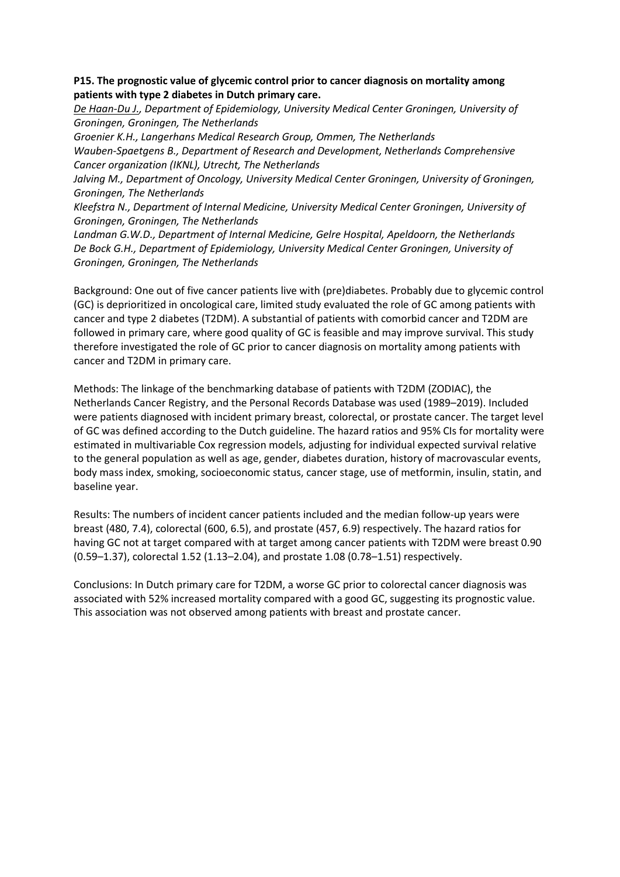### **P15. The prognostic value of glycemic control prior to cancer diagnosis on mortality among patients with type 2 diabetes in Dutch primary care.**

*De Haan-Du J., Department of Epidemiology, University Medical Center Groningen, University of Groningen, Groningen, The Netherlands*

*Groenier K.H., Langerhans Medical Research Group, Ommen, The Netherlands Wauben-Spaetgens B., Department of Research and Development, Netherlands Comprehensive Cancer organization (IKNL), Utrecht, The Netherlands*

*Jalving M., Department of Oncology, University Medical Center Groningen, University of Groningen, Groningen, The Netherlands*

*Kleefstra N., Department of Internal Medicine, University Medical Center Groningen, University of Groningen, Groningen, The Netherlands*

*Landman G.W.D., Department of Internal Medicine, Gelre Hospital, Apeldoorn, the Netherlands De Bock G.H., Department of Epidemiology, University Medical Center Groningen, University of Groningen, Groningen, The Netherlands*

Background: One out of five cancer patients live with (pre)diabetes. Probably due to glycemic control (GC) is deprioritized in oncological care, limited study evaluated the role of GC among patients with cancer and type 2 diabetes (T2DM). A substantial of patients with comorbid cancer and T2DM are followed in primary care, where good quality of GC is feasible and may improve survival. This study therefore investigated the role of GC prior to cancer diagnosis on mortality among patients with cancer and T2DM in primary care.

Methods: The linkage of the benchmarking database of patients with T2DM (ZODIAC), the Netherlands Cancer Registry, and the Personal Records Database was used (1989–2019). Included were patients diagnosed with incident primary breast, colorectal, or prostate cancer. The target level of GC was defined according to the Dutch guideline. The hazard ratios and 95% CIs for mortality were estimated in multivariable Cox regression models, adjusting for individual expected survival relative to the general population as well as age, gender, diabetes duration, history of macrovascular events, body mass index, smoking, socioeconomic status, cancer stage, use of metformin, insulin, statin, and baseline year.

Results: The numbers of incident cancer patients included and the median follow-up years were breast (480, 7.4), colorectal (600, 6.5), and prostate (457, 6.9) respectively. The hazard ratios for having GC not at target compared with at target among cancer patients with T2DM were breast 0.90 (0.59–1.37), colorectal 1.52 (1.13–2.04), and prostate 1.08 (0.78–1.51) respectively.

Conclusions: In Dutch primary care for T2DM, a worse GC prior to colorectal cancer diagnosis was associated with 52% increased mortality compared with a good GC, suggesting its prognostic value. This association was not observed among patients with breast and prostate cancer.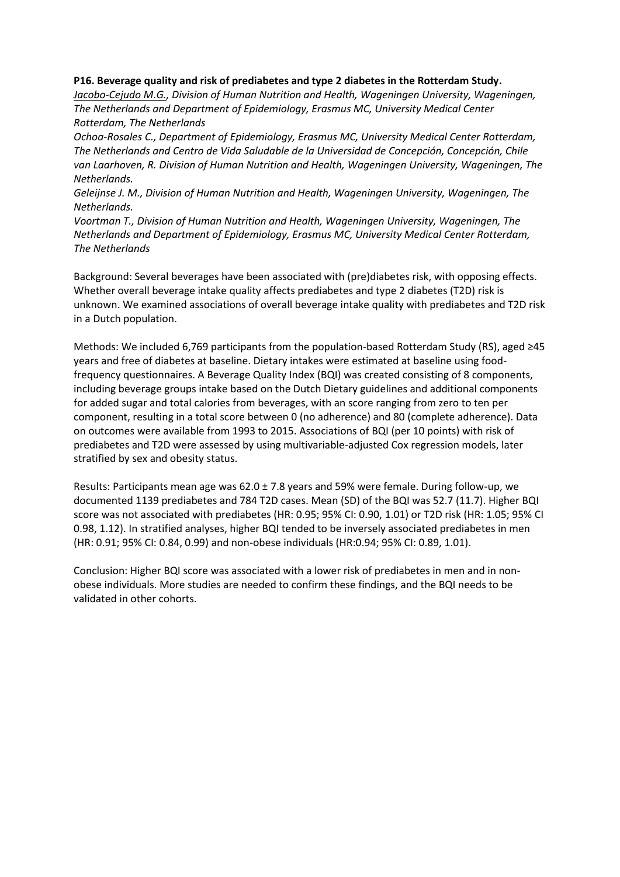### **P16. Beverage quality and risk of prediabetes and type 2 diabetes in the Rotterdam Study.**

*Jacobo-Cejudo M.G., Division of Human Nutrition and Health, Wageningen University, Wageningen, The Netherlands and Department of Epidemiology, Erasmus MC, University Medical Center Rotterdam, The Netherlands*

*Ochoa-Rosales C., Department of Epidemiology, Erasmus MC, University Medical Center Rotterdam, The Netherlands and Centro de Vida Saludable de la Universidad de Concepción, Concepción, Chile van Laarhoven, R. Division of Human Nutrition and Health, Wageningen University, Wageningen, The Netherlands.*

*Geleijnse J. M., Division of Human Nutrition and Health, Wageningen University, Wageningen, The Netherlands.*

*Voortman T., Division of Human Nutrition and Health, Wageningen University, Wageningen, The Netherlands and Department of Epidemiology, Erasmus MC, University Medical Center Rotterdam, The Netherlands* 

Background: Several beverages have been associated with (pre)diabetes risk, with opposing effects. Whether overall beverage intake quality affects prediabetes and type 2 diabetes (T2D) risk is unknown. We examined associations of overall beverage intake quality with prediabetes and T2D risk in a Dutch population.

Methods: We included 6,769 participants from the population-based Rotterdam Study (RS), aged ≥45 years and free of diabetes at baseline. Dietary intakes were estimated at baseline using foodfrequency questionnaires. A Beverage Quality Index (BQI) was created consisting of 8 components, including beverage groups intake based on the Dutch Dietary guidelines and additional components for added sugar and total calories from beverages, with an score ranging from zero to ten per component, resulting in a total score between 0 (no adherence) and 80 (complete adherence). Data on outcomes were available from 1993 to 2015. Associations of BQI (per 10 points) with risk of prediabetes and T2D were assessed by using multivariable-adjusted Cox regression models, later stratified by sex and obesity status.

Results: Participants mean age was  $62.0 \pm 7.8$  years and 59% were female. During follow-up, we documented 1139 prediabetes and 784 T2D cases. Mean (SD) of the BQI was 52.7 (11.7). Higher BQI score was not associated with prediabetes (HR: 0.95; 95% CI: 0.90, 1.01) or T2D risk (HR: 1.05; 95% CI 0.98, 1.12). In stratified analyses, higher BQI tended to be inversely associated prediabetes in men (HR: 0.91; 95% CI: 0.84, 0.99) and non-obese individuals (HR:0.94; 95% CI: 0.89, 1.01).

Conclusion: Higher BQI score was associated with a lower risk of prediabetes in men and in nonobese individuals. More studies are needed to confirm these findings, and the BQI needs to be validated in other cohorts.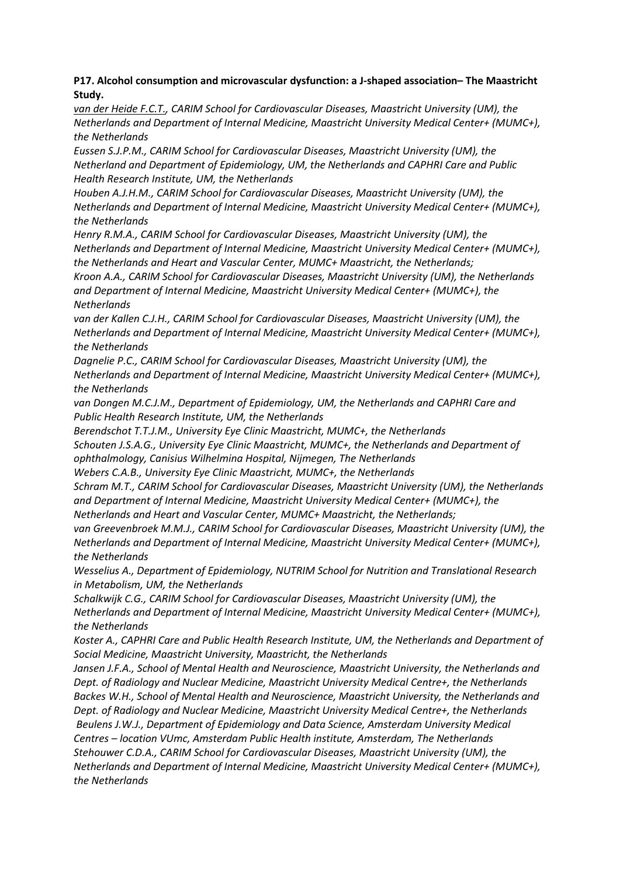# **P17. Alcohol consumption and microvascular dysfunction: a J-shaped association– The Maastricht Study.**

*van der Heide F.C.T., CARIM School for Cardiovascular Diseases, Maastricht University (UM), the Netherlands and Department of Internal Medicine, Maastricht University Medical Center+ (MUMC+), the Netherlands*

*Eussen S.J.P.M., CARIM School for Cardiovascular Diseases, Maastricht University (UM), the Netherland and Department of Epidemiology, UM, the Netherlands and CAPHRI Care and Public Health Research Institute, UM, the Netherlands*

*Houben A.J.H.M., CARIM School for Cardiovascular Diseases, Maastricht University (UM), the Netherlands and Department of Internal Medicine, Maastricht University Medical Center+ (MUMC+), the Netherlands*

*Henry R.M.A., CARIM School for Cardiovascular Diseases, Maastricht University (UM), the Netherlands and Department of Internal Medicine, Maastricht University Medical Center+ (MUMC+), the Netherlands and Heart and Vascular Center, MUMC+ Maastricht, the Netherlands;*

*Kroon A.A., CARIM School for Cardiovascular Diseases, Maastricht University (UM), the Netherlands and Department of Internal Medicine, Maastricht University Medical Center+ (MUMC+), the Netherlands* 

*van der Kallen C.J.H., CARIM School for Cardiovascular Diseases, Maastricht University (UM), the Netherlands and Department of Internal Medicine, Maastricht University Medical Center+ (MUMC+), the Netherlands*

*Dagnelie P.C., CARIM School for Cardiovascular Diseases, Maastricht University (UM), the Netherlands and Department of Internal Medicine, Maastricht University Medical Center+ (MUMC+), the Netherlands*

van Dongen M.C.J.M., Department of Epidemiology, UM, the Netherlands and CAPHRI Care and *Public Health Research Institute, UM, the Netherlands*

*Berendschot T.T.J.M., University Eye Clinic Maastricht, MUMC+, the Netherlands*

*Schouten J.S.A.G., University Eye Clinic Maastricht, MUMC+, the Netherlands and Department of ophthalmology, Canisius Wilhelmina Hospital, Nijmegen, The Netherlands*

*Webers C.A.B., University Eye Clinic Maastricht, MUMC+, the Netherlands*

*Schram M.T., CARIM School for Cardiovascular Diseases, Maastricht University (UM), the Netherlands and Department of Internal Medicine, Maastricht University Medical Center+ (MUMC+), the Netherlands and Heart and Vascular Center, MUMC+ Maastricht, the Netherlands;* 

*van Greevenbroek M.M.J., CARIM School for Cardiovascular Diseases, Maastricht University (UM), the Netherlands and Department of Internal Medicine, Maastricht University Medical Center+ (MUMC+), the Netherlands*

*Wesselius A., Department of Epidemiology, NUTRIM School for Nutrition and Translational Research in Metabolism, UM, the Netherlands*

*Schalkwijk C.G., CARIM School for Cardiovascular Diseases, Maastricht University (UM), the Netherlands and Department of Internal Medicine, Maastricht University Medical Center+ (MUMC+), the Netherlands*

*Koster A., CAPHRI Care and Public Health Research Institute, UM, the Netherlands and Department of Social Medicine, Maastricht University, Maastricht, the Netherlands*

*Jansen J.F.A., School of Mental Health and Neuroscience, Maastricht University, the Netherlands and Dept. of Radiology and Nuclear Medicine, Maastricht University Medical Centre+, the Netherlands Backes W.H., School of Mental Health and Neuroscience, Maastricht University, the Netherlands and Dept. of Radiology and Nuclear Medicine, Maastricht University Medical Centre+, the Netherlands Beulens J.W.J., Department of Epidemiology and Data Science, Amsterdam University Medical Centres – location VUmc, Amsterdam Public Health institute, Amsterdam, The Netherlands Stehouwer C.D.A., CARIM School for Cardiovascular Diseases, Maastricht University (UM), the Netherlands and Department of Internal Medicine, Maastricht University Medical Center+ (MUMC+), the Netherlands*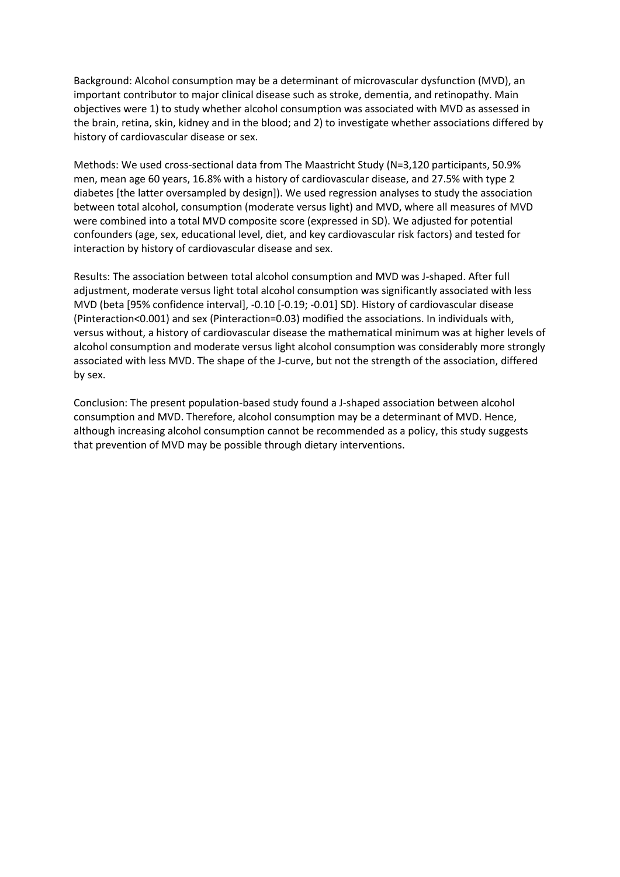Background: Alcohol consumption may be a determinant of microvascular dysfunction (MVD), an important contributor to major clinical disease such as stroke, dementia, and retinopathy. Main objectives were 1) to study whether alcohol consumption was associated with MVD as assessed in the brain, retina, skin, kidney and in the blood; and 2) to investigate whether associations differed by history of cardiovascular disease or sex.

Methods: We used cross-sectional data from The Maastricht Study (N=3,120 participants, 50.9% men, mean age 60 years, 16.8% with a history of cardiovascular disease, and 27.5% with type 2 diabetes [the latter oversampled by design]). We used regression analyses to study the association between total alcohol, consumption (moderate versus light) and MVD, where all measures of MVD were combined into a total MVD composite score (expressed in SD). We adjusted for potential confounders (age, sex, educational level, diet, and key cardiovascular risk factors) and tested for interaction by history of cardiovascular disease and sex.

Results: The association between total alcohol consumption and MVD was J-shaped. After full adjustment, moderate versus light total alcohol consumption was significantly associated with less MVD (beta [95% confidence interval], -0.10 [-0.19; -0.01] SD). History of cardiovascular disease (Pinteraction<0.001) and sex (Pinteraction=0.03) modified the associations. In individuals with, versus without, a history of cardiovascular disease the mathematical minimum was at higher levels of alcohol consumption and moderate versus light alcohol consumption was considerably more strongly associated with less MVD. The shape of the J-curve, but not the strength of the association, differed by sex.

Conclusion: The present population-based study found a J-shaped association between alcohol consumption and MVD. Therefore, alcohol consumption may be a determinant of MVD. Hence, although increasing alcohol consumption cannot be recommended as a policy, this study suggests that prevention of MVD may be possible through dietary interventions.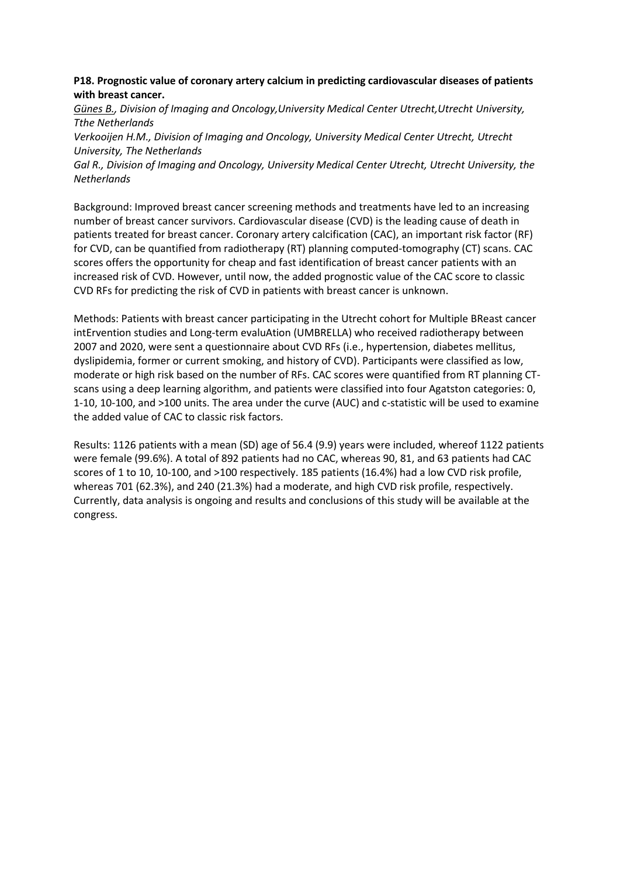### **P18. Prognostic value of coronary artery calcium in predicting cardiovascular diseases of patients with breast cancer.**

*Günes B., Division of Imaging and Oncology,University Medical Center Utrecht,Utrecht University, Tthe Netherlands*

*Verkooijen H.M., Division of Imaging and Oncology, University Medical Center Utrecht, Utrecht University, The Netherlands*

*Gal R., Division of Imaging and Oncology, University Medical Center Utrecht, Utrecht University, the Netherlands*

Background: Improved breast cancer screening methods and treatments have led to an increasing number of breast cancer survivors. Cardiovascular disease (CVD) is the leading cause of death in patients treated for breast cancer. Coronary artery calcification (CAC), an important risk factor (RF) for CVD, can be quantified from radiotherapy (RT) planning computed-tomography (CT) scans. CAC scores offers the opportunity for cheap and fast identification of breast cancer patients with an increased risk of CVD. However, until now, the added prognostic value of the CAC score to classic CVD RFs for predicting the risk of CVD in patients with breast cancer is unknown.

Methods: Patients with breast cancer participating in the Utrecht cohort for Multiple BReast cancer intErvention studies and Long-term evaluAtion (UMBRELLA) who received radiotherapy between 2007 and 2020, were sent a questionnaire about CVD RFs (i.e., hypertension, diabetes mellitus, dyslipidemia, former or current smoking, and history of CVD). Participants were classified as low, moderate or high risk based on the number of RFs. CAC scores were quantified from RT planning CTscans using a deep learning algorithm, and patients were classified into four Agatston categories: 0, 1-10, 10-100, and >100 units. The area under the curve (AUC) and c-statistic will be used to examine the added value of CAC to classic risk factors.

Results: 1126 patients with a mean (SD) age of 56.4 (9.9) years were included, whereof 1122 patients were female (99.6%). A total of 892 patients had no CAC, whereas 90, 81, and 63 patients had CAC scores of 1 to 10, 10-100, and >100 respectively. 185 patients (16.4%) had a low CVD risk profile, whereas 701 (62.3%), and 240 (21.3%) had a moderate, and high CVD risk profile, respectively. Currently, data analysis is ongoing and results and conclusions of this study will be available at the congress.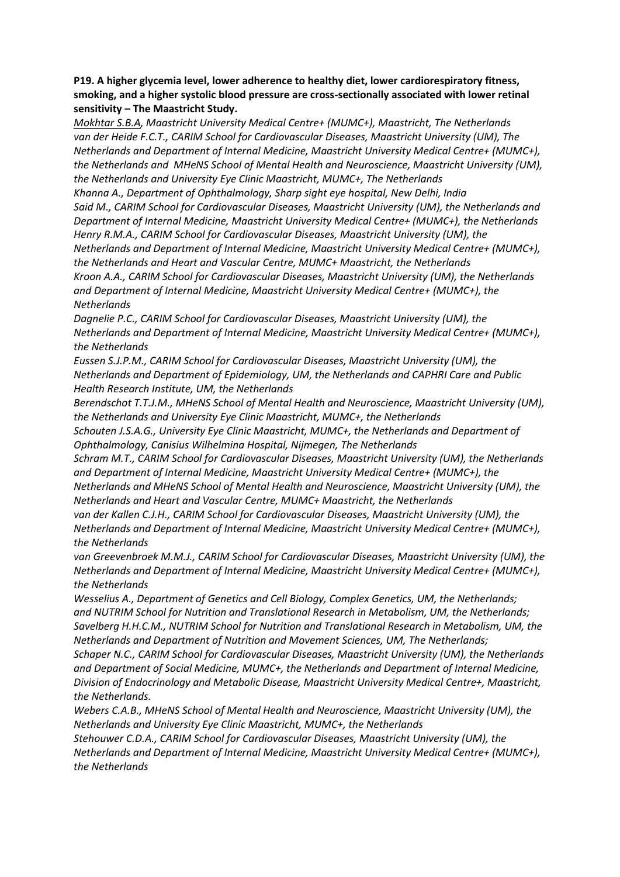# **P19. A higher glycemia level, lower adherence to healthy diet, lower cardiorespiratory fitness, smoking, and a higher systolic blood pressure are cross-sectionally associated with lower retinal sensitivity – The Maastricht Study.**

*Mokhtar S.B.A, Maastricht University Medical Centre+ (MUMC+), Maastricht, The Netherlands van der Heide F.C.T., CARIM School for Cardiovascular Diseases, Maastricht University (UM), The Netherlands and Department of Internal Medicine, Maastricht University Medical Centre+ (MUMC+), the Netherlands and MHeNS School of Mental Health and Neuroscience, Maastricht University (UM), the Netherlands and University Eye Clinic Maastricht, MUMC+, The Netherlands* 

*Khanna A., Department of Ophthalmology, Sharp sight eye hospital, New Delhi, India Said M., CARIM School for Cardiovascular Diseases, Maastricht University (UM), the Netherlands and Department of Internal Medicine, Maastricht University Medical Centre+ (MUMC+), the Netherlands Henry R.M.A., CARIM School for Cardiovascular Diseases, Maastricht University (UM), the Netherlands and Department of Internal Medicine, Maastricht University Medical Centre+ (MUMC+), the Netherlands and Heart and Vascular Centre, MUMC+ Maastricht, the Netherlands Kroon A.A., CARIM School for Cardiovascular Diseases, Maastricht University (UM), the Netherlands and Department of Internal Medicine, Maastricht University Medical Centre+ (MUMC+), the Netherlands*

*Dagnelie P.C., CARIM School for Cardiovascular Diseases, Maastricht University (UM), the Netherlands and Department of Internal Medicine, Maastricht University Medical Centre+ (MUMC+), the Netherlands*

*Eussen S.J.P.M., CARIM School for Cardiovascular Diseases, Maastricht University (UM), the Netherlands and Department of Epidemiology, UM, the Netherlands and CAPHRI Care and Public Health Research Institute, UM, the Netherlands*

*Berendschot T.T.J.M., MHeNS School of Mental Health and Neuroscience, Maastricht University (UM), the Netherlands and University Eye Clinic Maastricht, MUMC+, the Netherlands*

*Schouten J.S.A.G., University Eye Clinic Maastricht, MUMC+, the Netherlands and Department of Ophthalmology, Canisius Wilhelmina Hospital, Nijmegen, The Netherlands*

*Schram M.T., CARIM School for Cardiovascular Diseases, Maastricht University (UM), the Netherlands and Department of Internal Medicine, Maastricht University Medical Centre+ (MUMC+), the* 

*Netherlands and MHeNS School of Mental Health and Neuroscience, Maastricht University (UM), the Netherlands and Heart and Vascular Centre, MUMC+ Maastricht, the Netherlands*

*van der Kallen C.J.H., CARIM School for Cardiovascular Diseases, Maastricht University (UM), the Netherlands and Department of Internal Medicine, Maastricht University Medical Centre+ (MUMC+), the Netherlands*

*van Greevenbroek M.M.J., CARIM School for Cardiovascular Diseases, Maastricht University (UM), the Netherlands and Department of Internal Medicine, Maastricht University Medical Centre+ (MUMC+), the Netherlands*

*Wesselius A., Department of Genetics and Cell Biology, Complex Genetics, UM, the Netherlands; and NUTRIM School for Nutrition and Translational Research in Metabolism, UM, the Netherlands; Savelberg H.H.C.M., NUTRIM School for Nutrition and Translational Research in Metabolism, UM, the Netherlands and Department of Nutrition and Movement Sciences, UM, The Netherlands;*

*Schaper N.C., CARIM School for Cardiovascular Diseases, Maastricht University (UM), the Netherlands and Department of Social Medicine, MUMC+, the Netherlands and Department of Internal Medicine, Division of Endocrinology and Metabolic Disease, Maastricht University Medical Centre+, Maastricht, the Netherlands.*

*Webers C.A.B., MHeNS School of Mental Health and Neuroscience, Maastricht University (UM), the Netherlands and University Eye Clinic Maastricht, MUMC+, the Netherlands*

*Stehouwer C.D.A., CARIM School for Cardiovascular Diseases, Maastricht University (UM), the Netherlands and Department of Internal Medicine, Maastricht University Medical Centre+ (MUMC+), the Netherlands*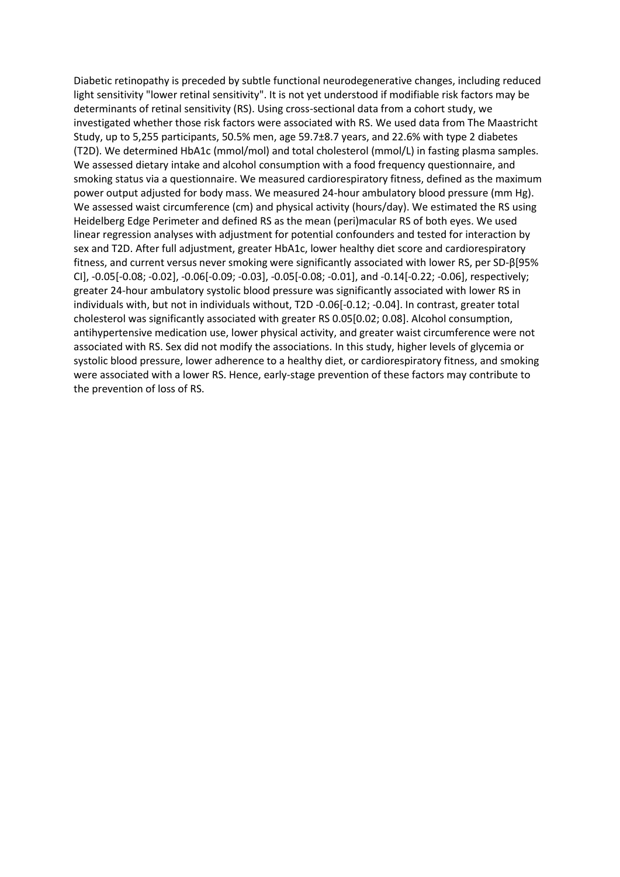Diabetic retinopathy is preceded by subtle functional neurodegenerative changes, including reduced light sensitivity "lower retinal sensitivity". It is not yet understood if modifiable risk factors may be determinants of retinal sensitivity (RS). Using cross-sectional data from a cohort study, we investigated whether those risk factors were associated with RS. We used data from The Maastricht Study, up to 5,255 participants, 50.5% men, age 59.7±8.7 years, and 22.6% with type 2 diabetes (T2D). We determined HbA1c (mmol/mol) and total cholesterol (mmol/L) in fasting plasma samples. We assessed dietary intake and alcohol consumption with a food frequency questionnaire, and smoking status via a questionnaire. We measured cardiorespiratory fitness, defined as the maximum power output adjusted for body mass. We measured 24-hour ambulatory blood pressure (mm Hg). We assessed waist circumference (cm) and physical activity (hours/day). We estimated the RS using Heidelberg Edge Perimeter and defined RS as the mean (peri)macular RS of both eyes. We used linear regression analyses with adjustment for potential confounders and tested for interaction by sex and T2D. After full adjustment, greater HbA1c, lower healthy diet score and cardiorespiratory fitness, and current versus never smoking were significantly associated with lower RS, per SD-β[95% CI], -0.05[-0.08; -0.02], -0.06[-0.09; -0.03], -0.05[-0.08; -0.01], and -0.14[-0.22; -0.06], respectively; greater 24-hour ambulatory systolic blood pressure was significantly associated with lower RS in individuals with, but not in individuals without, T2D -0.06[-0.12; -0.04]. In contrast, greater total cholesterol was significantly associated with greater RS 0.05[0.02; 0.08]. Alcohol consumption, antihypertensive medication use, lower physical activity, and greater waist circumference were not associated with RS. Sex did not modify the associations. In this study, higher levels of glycemia or systolic blood pressure, lower adherence to a healthy diet, or cardiorespiratory fitness, and smoking were associated with a lower RS. Hence, early-stage prevention of these factors may contribute to the prevention of loss of RS.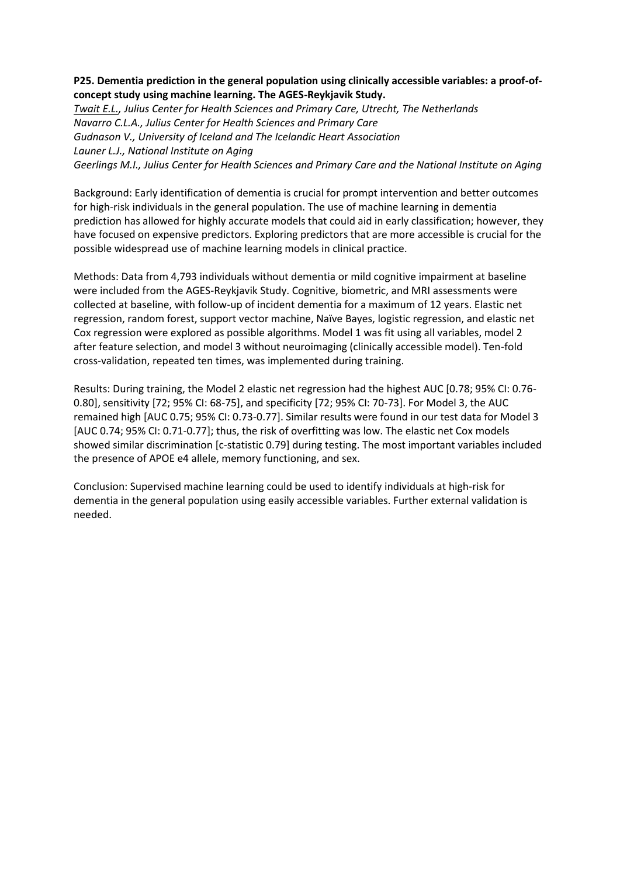# **P25. Dementia prediction in the general population using clinically accessible variables: a proof-ofconcept study using machine learning. The AGES-Reykjavik Study.**

*Twait E.L., Julius Center for Health Sciences and Primary Care, Utrecht, The Netherlands Navarro C.L.A., Julius Center for Health Sciences and Primary Care Gudnason V., University of Iceland and The Icelandic Heart Association Launer L.J., National Institute on Aging Geerlings M.I., Julius Center for Health Sciences and Primary Care and the National Institute on Aging*

Background: Early identification of dementia is crucial for prompt intervention and better outcomes for high-risk individuals in the general population. The use of machine learning in dementia prediction has allowed for highly accurate models that could aid in early classification; however, they have focused on expensive predictors. Exploring predictors that are more accessible is crucial for the possible widespread use of machine learning models in clinical practice.

Methods: Data from 4,793 individuals without dementia or mild cognitive impairment at baseline were included from the AGES-Reykjavik Study. Cognitive, biometric, and MRI assessments were collected at baseline, with follow-up of incident dementia for a maximum of 12 years. Elastic net regression, random forest, support vector machine, Naïve Bayes, logistic regression, and elastic net Cox regression were explored as possible algorithms. Model 1 was fit using all variables, model 2 after feature selection, and model 3 without neuroimaging (clinically accessible model). Ten-fold cross-validation, repeated ten times, was implemented during training.

Results: During training, the Model 2 elastic net regression had the highest AUC [0.78; 95% CI: 0.76- 0.80], sensitivity [72; 95% CI: 68-75], and specificity [72; 95% CI: 70-73]. For Model 3, the AUC remained high [AUC 0.75; 95% CI: 0.73-0.77]. Similar results were found in our test data for Model 3 [AUC 0.74; 95% CI: 0.71-0.77]; thus, the risk of overfitting was low. The elastic net Cox models showed similar discrimination [c-statistic 0.79] during testing. The most important variables included the presence of APOE e4 allele, memory functioning, and sex.

Conclusion: Supervised machine learning could be used to identify individuals at high-risk for dementia in the general population using easily accessible variables. Further external validation is needed.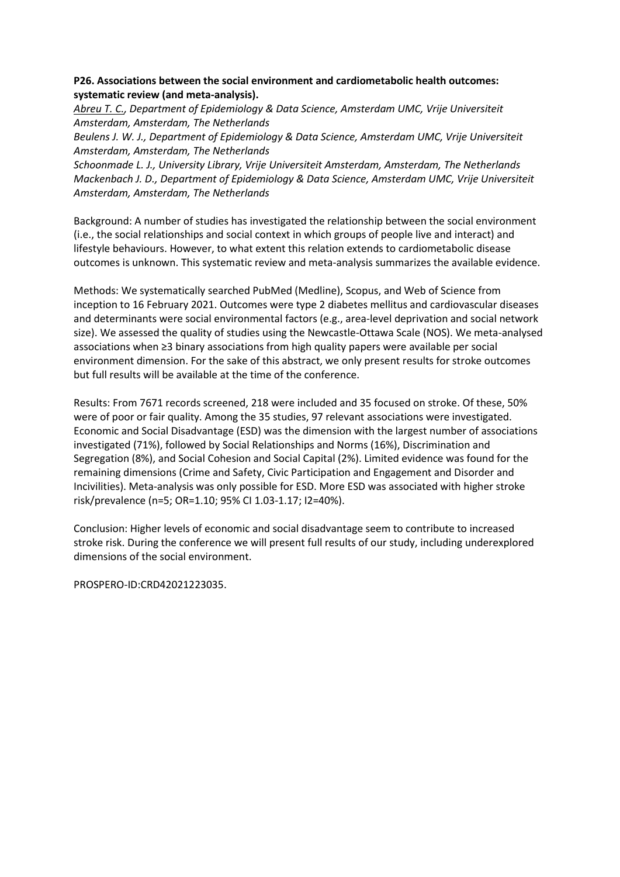# **P26. Associations between the social environment and cardiometabolic health outcomes: systematic review (and meta-analysis).**

*Abreu T. C., Department of Epidemiology & Data Science, Amsterdam UMC, Vrije Universiteit Amsterdam, Amsterdam, The Netherlands*

*Beulens J. W. J., Department of Epidemiology & Data Science, Amsterdam UMC, Vrije Universiteit Amsterdam, Amsterdam, The Netherlands*

*Schoonmade L. J., University Library, Vrije Universiteit Amsterdam, Amsterdam, The Netherlands Mackenbach J. D., Department of Epidemiology & Data Science, Amsterdam UMC, Vrije Universiteit Amsterdam, Amsterdam, The Netherlands*

Background: A number of studies has investigated the relationship between the social environment (i.e., the social relationships and social context in which groups of people live and interact) and lifestyle behaviours. However, to what extent this relation extends to cardiometabolic disease outcomes is unknown. This systematic review and meta-analysis summarizes the available evidence.

Methods: We systematically searched PubMed (Medline), Scopus, and Web of Science from inception to 16 February 2021. Outcomes were type 2 diabetes mellitus and cardiovascular diseases and determinants were social environmental factors (e.g., area-level deprivation and social network size). We assessed the quality of studies using the Newcastle-Ottawa Scale (NOS). We meta-analysed associations when ≥3 binary associations from high quality papers were available per social environment dimension. For the sake of this abstract, we only present results for stroke outcomes but full results will be available at the time of the conference.

Results: From 7671 records screened, 218 were included and 35 focused on stroke. Of these, 50% were of poor or fair quality. Among the 35 studies, 97 relevant associations were investigated. Economic and Social Disadvantage (ESD) was the dimension with the largest number of associations investigated (71%), followed by Social Relationships and Norms (16%), Discrimination and Segregation (8%), and Social Cohesion and Social Capital (2%). Limited evidence was found for the remaining dimensions (Crime and Safety, Civic Participation and Engagement and Disorder and Incivilities). Meta-analysis was only possible for ESD. More ESD was associated with higher stroke risk/prevalence (n=5; OR=1.10; 95% CI 1.03-1.17; I2=40%).

Conclusion: Higher levels of economic and social disadvantage seem to contribute to increased stroke risk. During the conference we will present full results of our study, including underexplored dimensions of the social environment.

PROSPERO-ID:CRD42021223035.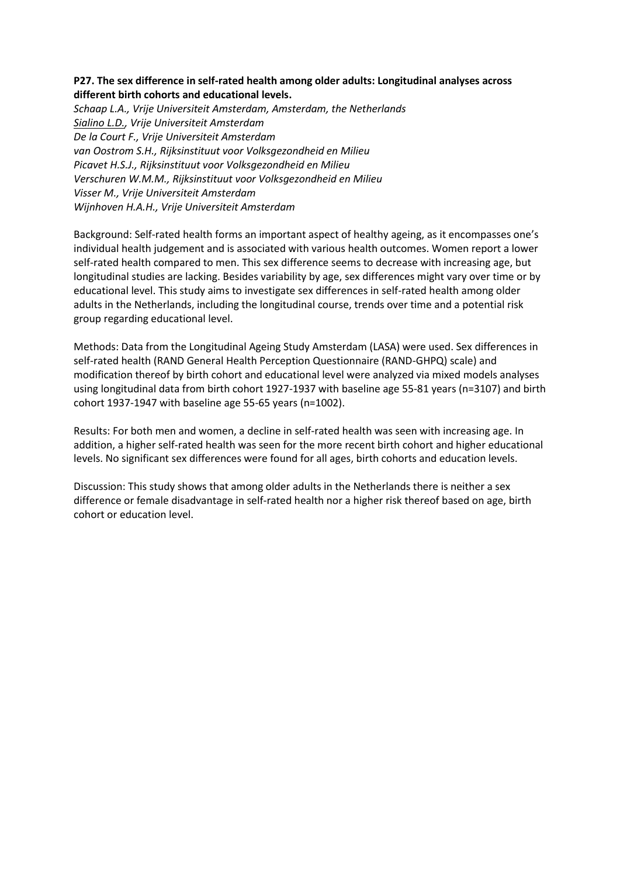# **P27. The sex difference in self-rated health among older adults: Longitudinal analyses across different birth cohorts and educational levels.**

*Schaap L.A., Vrije Universiteit Amsterdam, Amsterdam, the Netherlands Sialino L.D., Vrije Universiteit Amsterdam De la Court F., Vrije Universiteit Amsterdam van Oostrom S.H., Rijksinstituut voor Volksgezondheid en Milieu Picavet H.S.J., Rijksinstituut voor Volksgezondheid en Milieu Verschuren W.M.M., Rijksinstituut voor Volksgezondheid en Milieu Visser M., Vrije Universiteit Amsterdam Wijnhoven H.A.H., Vrije Universiteit Amsterdam*

Background: Self-rated health forms an important aspect of healthy ageing, as it encompasses one's individual health judgement and is associated with various health outcomes. Women report a lower self-rated health compared to men. This sex difference seems to decrease with increasing age, but longitudinal studies are lacking. Besides variability by age, sex differences might vary over time or by educational level. This study aims to investigate sex differences in self-rated health among older adults in the Netherlands, including the longitudinal course, trends over time and a potential risk group regarding educational level.

Methods: Data from the Longitudinal Ageing Study Amsterdam (LASA) were used. Sex differences in self-rated health (RAND General Health Perception Questionnaire (RAND-GHPQ) scale) and modification thereof by birth cohort and educational level were analyzed via mixed models analyses using longitudinal data from birth cohort 1927-1937 with baseline age 55-81 years (n=3107) and birth cohort 1937-1947 with baseline age 55-65 years (n=1002).

Results: For both men and women, a decline in self-rated health was seen with increasing age. In addition, a higher self-rated health was seen for the more recent birth cohort and higher educational levels. No significant sex differences were found for all ages, birth cohorts and education levels.

Discussion: This study shows that among older adults in the Netherlands there is neither a sex difference or female disadvantage in self-rated health nor a higher risk thereof based on age, birth cohort or education level.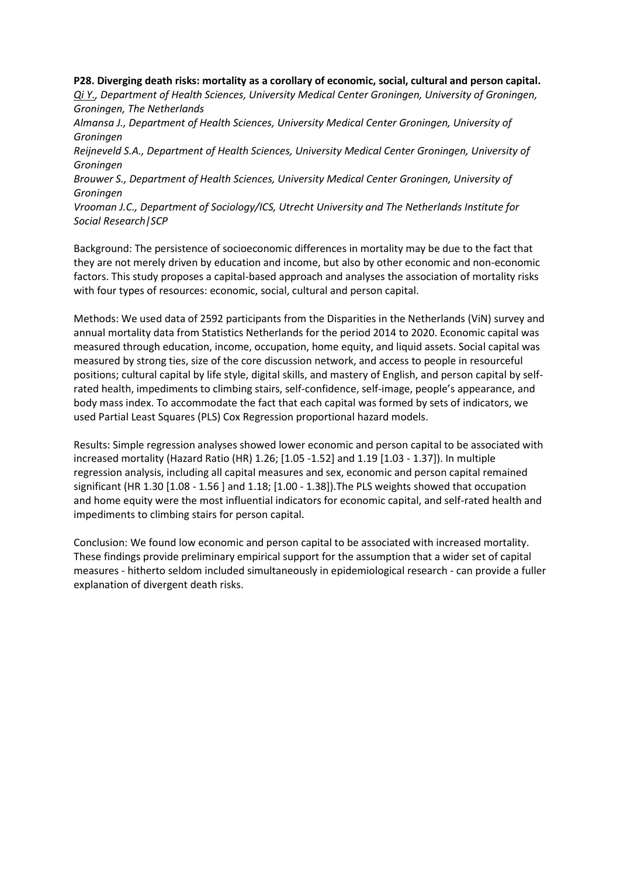**P28. Diverging death risks: mortality as a corollary of economic, social, cultural and person capital.** *Qi Y., Department of Health Sciences, University Medical Center Groningen, University of Groningen, Groningen, The Netherlands Almansa J., Department of Health Sciences, University Medical Center Groningen, University of Groningen Reijneveld S.A., Department of Health Sciences, University Medical Center Groningen, University of Groningen Brouwer S., Department of Health Sciences, University Medical Center Groningen, University of Groningen Vrooman J.C., Department of Sociology/ICS, Utrecht University and The Netherlands Institute for Social Research|SCP*

Background: The persistence of socioeconomic differences in mortality may be due to the fact that they are not merely driven by education and income, but also by other economic and non-economic factors. This study proposes a capital-based approach and analyses the association of mortality risks with four types of resources: economic, social, cultural and person capital.

Methods: We used data of 2592 participants from the Disparities in the Netherlands (ViN) survey and annual mortality data from Statistics Netherlands for the period 2014 to 2020. Economic capital was measured through education, income, occupation, home equity, and liquid assets. Social capital was measured by strong ties, size of the core discussion network, and access to people in resourceful positions; cultural capital by life style, digital skills, and mastery of English, and person capital by selfrated health, impediments to climbing stairs, self-confidence, self-image, people's appearance, and body mass index. To accommodate the fact that each capital was formed by sets of indicators, we used Partial Least Squares (PLS) Cox Regression proportional hazard models.

Results: Simple regression analyses showed lower economic and person capital to be associated with increased mortality (Hazard Ratio (HR) 1.26; [1.05 -1.52] and 1.19 [1.03 - 1.37]). In multiple regression analysis, including all capital measures and sex, economic and person capital remained significant (HR 1.30 [1.08 - 1.56 ] and 1.18; [1.00 - 1.38]).The PLS weights showed that occupation and home equity were the most influential indicators for economic capital, and self-rated health and impediments to climbing stairs for person capital.

Conclusion: We found low economic and person capital to be associated with increased mortality. These findings provide preliminary empirical support for the assumption that a wider set of capital measures - hitherto seldom included simultaneously in epidemiological research - can provide a fuller explanation of divergent death risks.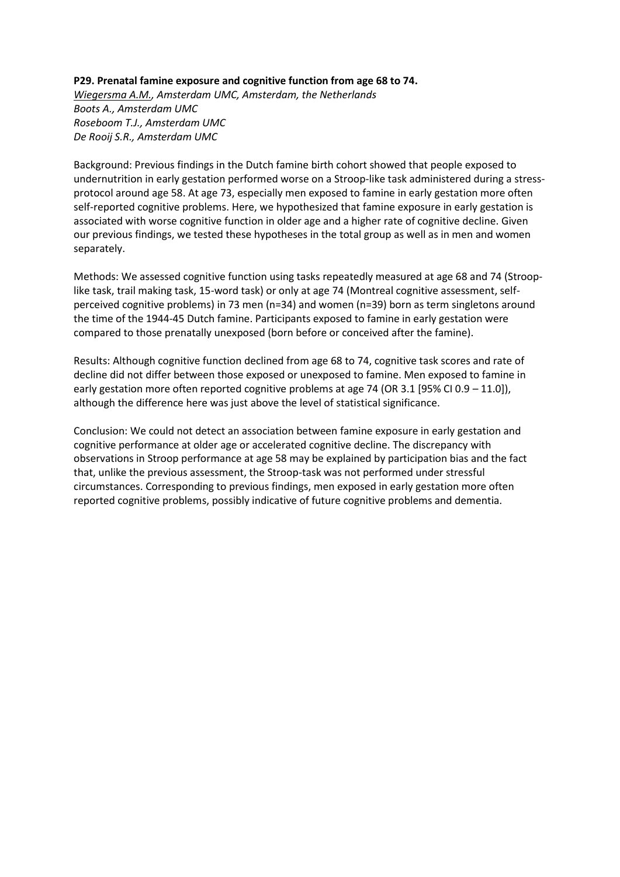#### **P29. Prenatal famine exposure and cognitive function from age 68 to 74.**

*Wiegersma A.M., Amsterdam UMC, Amsterdam, the Netherlands Boots A., Amsterdam UMC Roseboom T.J., Amsterdam UMC De Rooij S.R., Amsterdam UMC*

Background: Previous findings in the Dutch famine birth cohort showed that people exposed to undernutrition in early gestation performed worse on a Stroop-like task administered during a stressprotocol around age 58. At age 73, especially men exposed to famine in early gestation more often self-reported cognitive problems. Here, we hypothesized that famine exposure in early gestation is associated with worse cognitive function in older age and a higher rate of cognitive decline. Given our previous findings, we tested these hypotheses in the total group as well as in men and women separately.

Methods: We assessed cognitive function using tasks repeatedly measured at age 68 and 74 (Strooplike task, trail making task, 15-word task) or only at age 74 (Montreal cognitive assessment, selfperceived cognitive problems) in 73 men (n=34) and women (n=39) born as term singletons around the time of the 1944-45 Dutch famine. Participants exposed to famine in early gestation were compared to those prenatally unexposed (born before or conceived after the famine).

Results: Although cognitive function declined from age 68 to 74, cognitive task scores and rate of decline did not differ between those exposed or unexposed to famine. Men exposed to famine in early gestation more often reported cognitive problems at age 74 (OR 3.1 [95% CI 0.9 – 11.0]), although the difference here was just above the level of statistical significance.

Conclusion: We could not detect an association between famine exposure in early gestation and cognitive performance at older age or accelerated cognitive decline. The discrepancy with observations in Stroop performance at age 58 may be explained by participation bias and the fact that, unlike the previous assessment, the Stroop-task was not performed under stressful circumstances. Corresponding to previous findings, men exposed in early gestation more often reported cognitive problems, possibly indicative of future cognitive problems and dementia.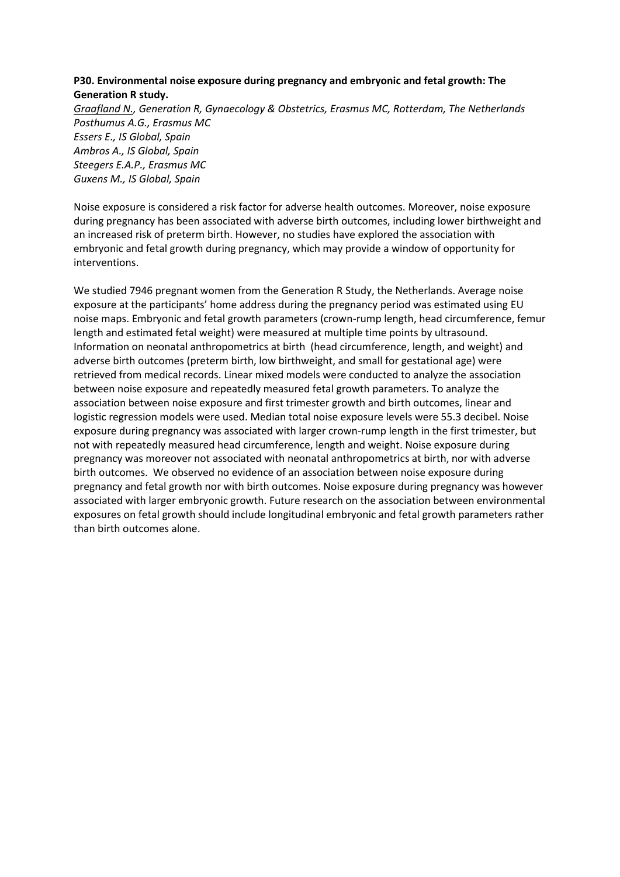# **P30. Environmental noise exposure during pregnancy and embryonic and fetal growth: The Generation R study.**

*Graafland N., Generation R, Gynaecology & Obstetrics, Erasmus MC, Rotterdam, The Netherlands Posthumus A.G., Erasmus MC Essers E., IS Global, Spain Ambros A., IS Global, Spain Steegers E.A.P., Erasmus MC Guxens M., IS Global, Spain*

Noise exposure is considered a risk factor for adverse health outcomes. Moreover, noise exposure during pregnancy has been associated with adverse birth outcomes, including lower birthweight and an increased risk of preterm birth. However, no studies have explored the association with embryonic and fetal growth during pregnancy, which may provide a window of opportunity for interventions.

We studied 7946 pregnant women from the Generation R Study, the Netherlands. Average noise exposure at the participants' home address during the pregnancy period was estimated using EU noise maps. Embryonic and fetal growth parameters (crown-rump length, head circumference, femur length and estimated fetal weight) were measured at multiple time points by ultrasound. Information on neonatal anthropometrics at birth (head circumference, length, and weight) and adverse birth outcomes (preterm birth, low birthweight, and small for gestational age) were retrieved from medical records. Linear mixed models were conducted to analyze the association between noise exposure and repeatedly measured fetal growth parameters. To analyze the association between noise exposure and first trimester growth and birth outcomes, linear and logistic regression models were used. Median total noise exposure levels were 55.3 decibel. Noise exposure during pregnancy was associated with larger crown-rump length in the first trimester, but not with repeatedly measured head circumference, length and weight. Noise exposure during pregnancy was moreover not associated with neonatal anthropometrics at birth, nor with adverse birth outcomes. We observed no evidence of an association between noise exposure during pregnancy and fetal growth nor with birth outcomes. Noise exposure during pregnancy was however associated with larger embryonic growth. Future research on the association between environmental exposures on fetal growth should include longitudinal embryonic and fetal growth parameters rather than birth outcomes alone.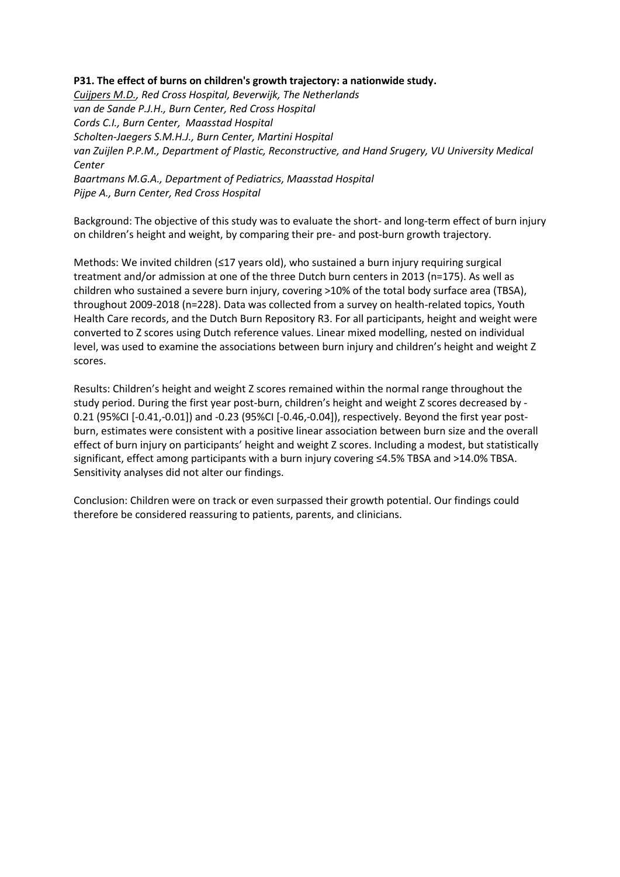### **P31. The effect of burns on children's growth trajectory: a nationwide study.**

*Cuijpers M.D., Red Cross Hospital, Beverwijk, The Netherlands van de Sande P.J.H., Burn Center, Red Cross Hospital Cords C.I., Burn Center, Maasstad Hospital Scholten-Jaegers S.M.H.J., Burn Center, Martini Hospital van Zuijlen P.P.M., Department of Plastic, Reconstructive, and Hand Srugery, VU University Medical Center Baartmans M.G.A., Department of Pediatrics, Maasstad Hospital Pijpe A., Burn Center, Red Cross Hospital*

Background: The objective of this study was to evaluate the short- and long-term effect of burn injury on children's height and weight, by comparing their pre- and post-burn growth trajectory.

Methods: We invited children (≤17 years old), who sustained a burn injury requiring surgical treatment and/or admission at one of the three Dutch burn centers in 2013 (n=175). As well as children who sustained a severe burn injury, covering >10% of the total body surface area (TBSA), throughout 2009-2018 (n=228). Data was collected from a survey on health-related topics, Youth Health Care records, and the Dutch Burn Repository R3. For all participants, height and weight were converted to Z scores using Dutch reference values. Linear mixed modelling, nested on individual level, was used to examine the associations between burn injury and children's height and weight Z scores.

Results: Children's height and weight Z scores remained within the normal range throughout the study period. During the first year post-burn, children's height and weight Z scores decreased by - 0.21 (95%CI [-0.41,-0.01]) and -0.23 (95%CI [-0.46,-0.04]), respectively. Beyond the first year postburn, estimates were consistent with a positive linear association between burn size and the overall effect of burn injury on participants' height and weight Z scores. Including a modest, but statistically significant, effect among participants with a burn injury covering ≤4.5% TBSA and >14.0% TBSA. Sensitivity analyses did not alter our findings.

Conclusion: Children were on track or even surpassed their growth potential. Our findings could therefore be considered reassuring to patients, parents, and clinicians.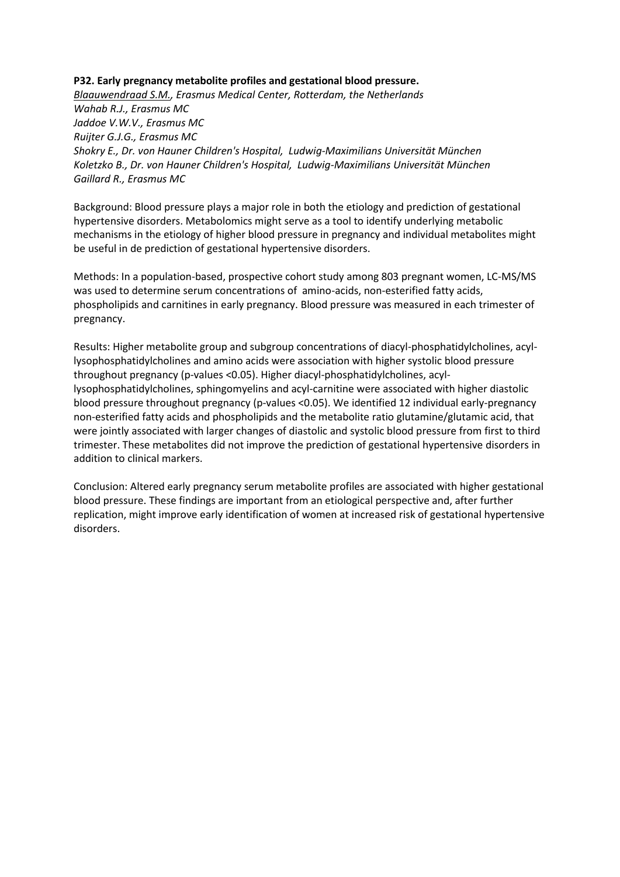# **P32. Early pregnancy metabolite profiles and gestational blood pressure.**

*Blaauwendraad S.M., Erasmus Medical Center, Rotterdam, the Netherlands Wahab R.J., Erasmus MC Jaddoe V.W.V., Erasmus MC Ruijter G.J.G., Erasmus MC Shokry E., Dr. von Hauner Children's Hospital, Ludwig-Maximilians Universität München Koletzko B., Dr. von Hauner Children's Hospital, Ludwig-Maximilians Universität München Gaillard R., Erasmus MC*

Background: Blood pressure plays a major role in both the etiology and prediction of gestational hypertensive disorders. Metabolomics might serve as a tool to identify underlying metabolic mechanisms in the etiology of higher blood pressure in pregnancy and individual metabolites might be useful in de prediction of gestational hypertensive disorders.

Methods: In a population-based, prospective cohort study among 803 pregnant women, LC-MS/MS was used to determine serum concentrations of amino-acids, non-esterified fatty acids, phospholipids and carnitines in early pregnancy. Blood pressure was measured in each trimester of pregnancy.

Results: Higher metabolite group and subgroup concentrations of diacyl-phosphatidylcholines, acyllysophosphatidylcholines and amino acids were association with higher systolic blood pressure throughout pregnancy (p-values <0.05). Higher diacyl-phosphatidylcholines, acyllysophosphatidylcholines, sphingomyelins and acyl-carnitine were associated with higher diastolic blood pressure throughout pregnancy (p-values <0.05). We identified 12 individual early-pregnancy non-esterified fatty acids and phospholipids and the metabolite ratio glutamine/glutamic acid, that were jointly associated with larger changes of diastolic and systolic blood pressure from first to third trimester. These metabolites did not improve the prediction of gestational hypertensive disorders in addition to clinical markers.

Conclusion: Altered early pregnancy serum metabolite profiles are associated with higher gestational blood pressure. These findings are important from an etiological perspective and, after further replication, might improve early identification of women at increased risk of gestational hypertensive disorders.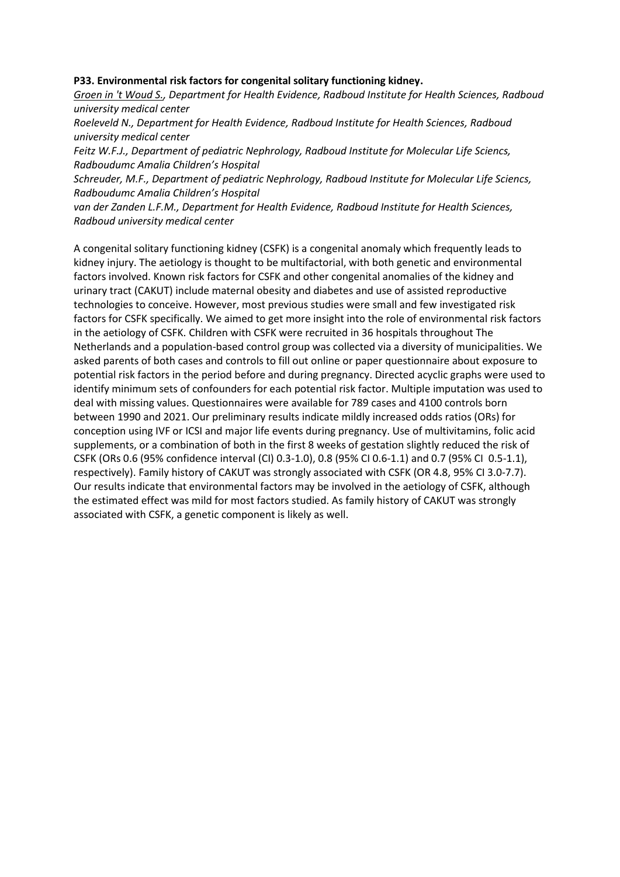#### **P33. Environmental risk factors for congenital solitary functioning kidney.**

*Groen in 't Woud S., Department for Health Evidence, Radboud Institute for Health Sciences, Radboud university medical center*

*Roeleveld N., Department for Health Evidence, Radboud Institute for Health Sciences, Radboud university medical center*

*Feitz W.F.J., Department of pediatric Nephrology, Radboud Institute for Molecular Life Sciencs, Radboudumc Amalia Children's Hospital*

*Schreuder, M.F., Department of pediatric Nephrology, Radboud Institute for Molecular Life Sciencs, Radboudumc Amalia Children's Hospital*

*van der Zanden L.F.M., Department for Health Evidence, Radboud Institute for Health Sciences, Radboud university medical center*

A congenital solitary functioning kidney (CSFK) is a congenital anomaly which frequently leads to kidney injury. The aetiology is thought to be multifactorial, with both genetic and environmental factors involved. Known risk factors for CSFK and other congenital anomalies of the kidney and urinary tract (CAKUT) include maternal obesity and diabetes and use of assisted reproductive technologies to conceive. However, most previous studies were small and few investigated risk factors for CSFK specifically. We aimed to get more insight into the role of environmental risk factors in the aetiology of CSFK. Children with CSFK were recruited in 36 hospitals throughout The Netherlands and a population-based control group was collected via a diversity of municipalities. We asked parents of both cases and controls to fill out online or paper questionnaire about exposure to potential risk factors in the period before and during pregnancy. Directed acyclic graphs were used to identify minimum sets of confounders for each potential risk factor. Multiple imputation was used to deal with missing values. Questionnaires were available for 789 cases and 4100 controls born between 1990 and 2021. Our preliminary results indicate mildly increased odds ratios (ORs) for conception using IVF or ICSI and major life events during pregnancy. Use of multivitamins, folic acid supplements, or a combination of both in the first 8 weeks of gestation slightly reduced the risk of CSFK (ORs 0.6 (95% confidence interval (CI) 0.3-1.0), 0.8 (95% CI 0.6-1.1) and 0.7 (95% CI 0.5-1.1), respectively). Family history of CAKUT was strongly associated with CSFK (OR 4.8, 95% CI 3.0-7.7). Our results indicate that environmental factors may be involved in the aetiology of CSFK, although the estimated effect was mild for most factors studied. As family history of CAKUT was strongly associated with CSFK, a genetic component is likely as well.